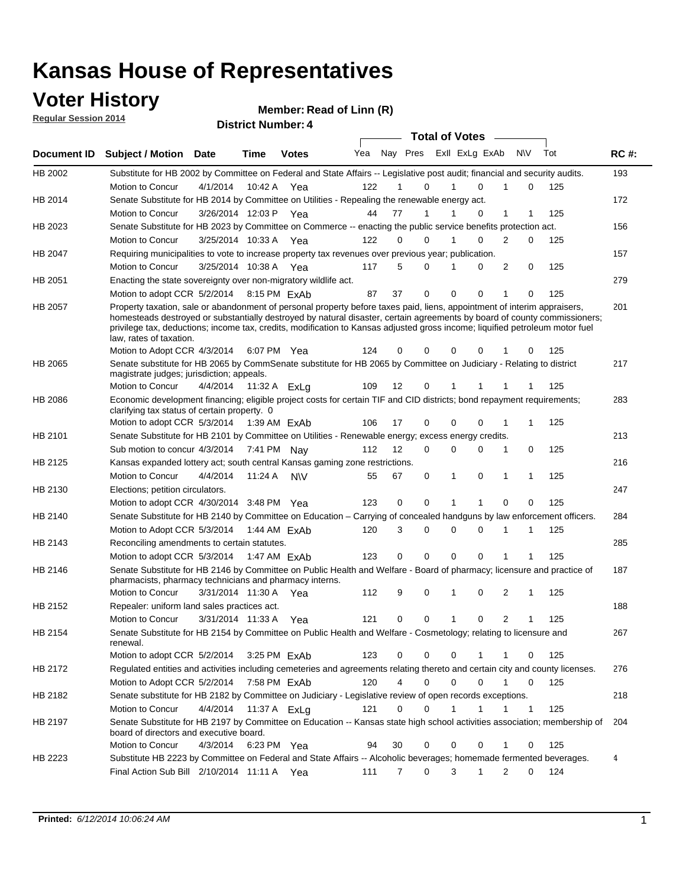### **Voter History**

**Regular Session 2014**

| <b>Document ID</b> | <b>Subject / Motion Date</b>                                                                                                                                                                                                                                                                                                                                                                                     |                          | Time    | <b>Votes</b> | Yea | Nay Pres Exll ExLg ExAb |             |              |             | N\V          |             | Tot | <b>RC#:</b> |
|--------------------|------------------------------------------------------------------------------------------------------------------------------------------------------------------------------------------------------------------------------------------------------------------------------------------------------------------------------------------------------------------------------------------------------------------|--------------------------|---------|--------------|-----|-------------------------|-------------|--------------|-------------|--------------|-------------|-----|-------------|
| HB 2002            | Substitute for HB 2002 by Committee on Federal and State Affairs -- Legislative post audit; financial and security audits.                                                                                                                                                                                                                                                                                       |                          |         |              |     |                         |             |              |             |              |             |     | 193         |
|                    | <b>Motion to Concur</b>                                                                                                                                                                                                                                                                                                                                                                                          | 4/1/2014                 | 10:42 A | Yea          | 122 | 1                       | 0           | 1            | $\Omega$    | 1            | $\mathbf 0$ | 125 |             |
| HB 2014            | Senate Substitute for HB 2014 by Committee on Utilities - Repealing the renewable energy act.                                                                                                                                                                                                                                                                                                                    |                          |         |              |     |                         |             |              |             |              |             |     | 172         |
|                    | Motion to Concur                                                                                                                                                                                                                                                                                                                                                                                                 | 3/26/2014 12:03 P        |         | Yea          | 44  | 77                      | 1           | 1            | 0           | $\mathbf{1}$ | 1           | 125 |             |
| HB 2023            | Senate Substitute for HB 2023 by Committee on Commerce -- enacting the public service benefits protection act.                                                                                                                                                                                                                                                                                                   |                          |         |              |     |                         |             |              |             |              |             |     | 156         |
|                    | <b>Motion to Concur</b>                                                                                                                                                                                                                                                                                                                                                                                          | 3/25/2014 10:33 A        |         | Yea          | 122 | 0                       | 0           | 1            | $\Omega$    | 2            | $\mathbf 0$ | 125 |             |
| HB 2047            | Requiring municipalities to vote to increase property tax revenues over previous year, publication.                                                                                                                                                                                                                                                                                                              |                          |         |              |     |                         |             |              |             |              |             |     | 157         |
|                    | Motion to Concur                                                                                                                                                                                                                                                                                                                                                                                                 | 3/25/2014 10:38 A        |         | Yea          | 117 | 5                       | 0           | 1            | 0           | 2            | 0           | 125 |             |
| HB 2051            | Enacting the state sovereignty over non-migratory wildlife act.                                                                                                                                                                                                                                                                                                                                                  |                          |         |              |     |                         |             |              |             |              |             |     | 279         |
|                    | Motion to adopt CCR 5/2/2014 8:15 PM ExAb                                                                                                                                                                                                                                                                                                                                                                        |                          |         |              | 87  | 37                      | 0           | $\mathbf 0$  | 0           | 1            | 0           | 125 |             |
| <b>HB 2057</b>     | Property taxation, sale or abandonment of personal property before taxes paid, liens, appointment of interim appraisers,<br>homesteads destroyed or substantially destroyed by natural disaster, certain agreements by board of county commissioners;<br>privilege tax, deductions; income tax, credits, modification to Kansas adjusted gross income; liquified petroleum motor fuel<br>law, rates of taxation. |                          |         |              |     |                         |             |              |             |              |             |     | 201         |
|                    | Motion to Adopt CCR 4/3/2014                                                                                                                                                                                                                                                                                                                                                                                     |                          |         | 6:07 PM Yea  | 124 | 0                       | 0           | 0            | $\Omega$    |              | 0           | 125 |             |
| <b>HB 2065</b>     | Senate substitute for HB 2065 by CommSenate substitute for HB 2065 by Committee on Judiciary - Relating to district<br>magistrate judges; jurisdiction; appeals.                                                                                                                                                                                                                                                 |                          |         |              |     |                         |             |              |             |              |             |     | 217         |
|                    | Motion to Concur                                                                                                                                                                                                                                                                                                                                                                                                 | 4/4/2014  11:32 A ExLg   |         |              | 109 | 12                      | 0           |              |             |              |             | 125 |             |
| <b>HB 2086</b>     | Economic development financing; eligible project costs for certain TIF and CID districts; bond repayment requirements;<br>clarifying tax status of certain property. 0                                                                                                                                                                                                                                           |                          |         |              |     |                         |             |              |             |              |             |     | 283         |
|                    | Motion to adopt CCR 5/3/2014 1:39 AM ExAb                                                                                                                                                                                                                                                                                                                                                                        |                          |         |              | 106 | 17                      | 0           | 0            | 0           | 1            | 1           | 125 |             |
| HB 2101            | Senate Substitute for HB 2101 by Committee on Utilities - Renewable energy; excess energy credits.                                                                                                                                                                                                                                                                                                               |                          |         |              |     |                         |             |              |             |              |             |     | 213         |
|                    | Sub motion to concur 4/3/2014 7:41 PM Nav                                                                                                                                                                                                                                                                                                                                                                        |                          |         |              | 112 | 12                      | $\mathbf 0$ | 0            | 0           | 1            | 0           | 125 |             |
| HB 2125            | Kansas expanded lottery act; south central Kansas gaming zone restrictions.                                                                                                                                                                                                                                                                                                                                      |                          |         |              |     |                         |             |              |             |              |             |     | 216         |
|                    | Motion to Concur                                                                                                                                                                                                                                                                                                                                                                                                 | 4/4/2014                 | 11:24 A | <b>NV</b>    | 55  | 67                      | 0           | 1            | 0           | 1            | 1           | 125 |             |
| HB 2130            | Elections; petition circulators.                                                                                                                                                                                                                                                                                                                                                                                 |                          |         |              |     |                         |             |              |             |              |             |     | 247         |
|                    | Motion to adopt CCR 4/30/2014 3:48 PM Yea                                                                                                                                                                                                                                                                                                                                                                        |                          |         |              | 123 | 0                       | 0           | 1            | 1           | 0            | 0           | 125 |             |
| HB 2140            | Senate Substitute for HB 2140 by Committee on Education – Carrying of concealed handguns by law enforcement officers.                                                                                                                                                                                                                                                                                            |                          |         |              |     |                         |             |              |             |              |             |     | 284         |
|                    | Motion to Adopt CCR 5/3/2014 1:44 AM ExAb                                                                                                                                                                                                                                                                                                                                                                        |                          |         |              | 120 | 3                       | 0           | 0            | $\Omega$    | 1            | 1           | 125 |             |
| HB 2143            | Reconciling amendments to certain statutes.                                                                                                                                                                                                                                                                                                                                                                      |                          |         |              |     |                         |             |              |             |              |             |     | 285         |
|                    | Motion to adopt CCR 5/3/2014 1:47 AM ExAb                                                                                                                                                                                                                                                                                                                                                                        |                          |         |              | 123 | 0                       | 0           | 0            | $\mathbf 0$ | 1            | 1           | 125 |             |
| HB 2146            | Senate Substitute for HB 2146 by Committee on Public Health and Welfare - Board of pharmacy; licensure and practice of<br>pharmacists, pharmacy technicians and pharmacy interns.                                                                                                                                                                                                                                |                          |         |              |     |                         |             |              |             |              |             |     | 187         |
|                    | Motion to Concur                                                                                                                                                                                                                                                                                                                                                                                                 | 3/31/2014 11:30 A        |         | Yea          | 112 | 9                       | 0           | 1            | 0           | 2            | 1           | 125 |             |
| <b>HB 2152</b>     | Repealer: uniform land sales practices act.                                                                                                                                                                                                                                                                                                                                                                      |                          |         |              |     |                         |             |              |             |              |             |     | 188         |
|                    | Motion to Concur                                                                                                                                                                                                                                                                                                                                                                                                 | 3/31/2014 11:33 A        |         | Yea          | 121 | 0                       | 0           | $\mathbf{1}$ | 0           | 2            | 1           | 125 |             |
| HB 2154            | Senate Substitute for HB 2154 by Committee on Public Health and Welfare - Cosmetology; relating to licensure and<br>renewal.                                                                                                                                                                                                                                                                                     |                          |         |              |     |                         |             |              |             |              |             |     | 267         |
|                    | Motion to adopt CCR 5/2/2014                                                                                                                                                                                                                                                                                                                                                                                     |                          |         | 3:25 PM ExAb | 123 | 0                       | 0           | 0            |             | 1            | 0           | 125 |             |
| HB 2172            | Regulated entities and activities including cemeteries and agreements relating thereto and certain city and county licenses.                                                                                                                                                                                                                                                                                     |                          |         |              |     |                         |             |              |             |              |             |     | 276         |
|                    | Motion to Adopt CCR 5/2/2014 7:58 PM ExAb                                                                                                                                                                                                                                                                                                                                                                        |                          |         |              | 120 | 4                       | 0           | $\Omega$     | $\Omega$    | 1            | $\Omega$    | 125 |             |
| HB 2182            | Senate substitute for HB 2182 by Committee on Judiciary - Legislative review of open records exceptions.                                                                                                                                                                                                                                                                                                         |                          |         |              |     |                         |             |              |             |              |             |     | 218         |
|                    | Motion to Concur                                                                                                                                                                                                                                                                                                                                                                                                 | 4/4/2014  11:37 A   ExLg |         |              | 121 | $\Omega$                | 0           | 1            |             |              | 1           | 125 |             |
| HB 2197            | Senate Substitute for HB 2197 by Committee on Education -- Kansas state high school activities association; membership of<br>board of directors and executive board.                                                                                                                                                                                                                                             |                          |         |              |     |                         |             |              |             |              |             |     | 204         |
|                    | Motion to Concur                                                                                                                                                                                                                                                                                                                                                                                                 | 4/3/2014                 |         | 6:23 PM Yea  | 94  | 30                      | $\mathbf 0$ | $\mathbf 0$  | 0           | 1            | 0           | 125 |             |
| HB 2223            | Substitute HB 2223 by Committee on Federal and State Affairs -- Alcoholic beverages; homemade fermented beverages.                                                                                                                                                                                                                                                                                               |                          |         |              |     |                         |             |              |             |              |             |     | 4           |
|                    | Final Action Sub Bill 2/10/2014 11:11 A Yea                                                                                                                                                                                                                                                                                                                                                                      |                          |         |              | 111 | $\overline{7}$          | 0           | 3            | 1           | 2            | 0           | 124 |             |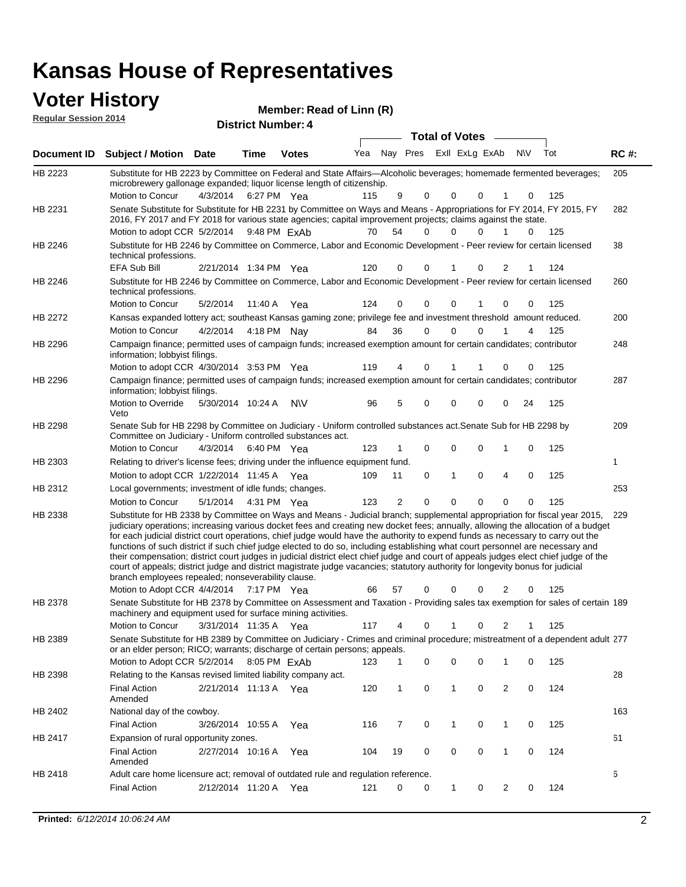### **Voter History**<br> **Regular Session 2014 Regular Session 2014**

**District Number: Member: Read of Linn (R)** 

| דושב ווטופסטט ומוסף וח |                                                                                                                                                                                                                                                                                                                                                                                                                                                                                                                                                                                                                                                                                                                                                                                                                                                                                                                 |                       |             | <b>District Number: 4</b> |     |                |          |                         |              |     |     |             |
|------------------------|-----------------------------------------------------------------------------------------------------------------------------------------------------------------------------------------------------------------------------------------------------------------------------------------------------------------------------------------------------------------------------------------------------------------------------------------------------------------------------------------------------------------------------------------------------------------------------------------------------------------------------------------------------------------------------------------------------------------------------------------------------------------------------------------------------------------------------------------------------------------------------------------------------------------|-----------------------|-------------|---------------------------|-----|----------------|----------|-------------------------|--------------|-----|-----|-------------|
|                        |                                                                                                                                                                                                                                                                                                                                                                                                                                                                                                                                                                                                                                                                                                                                                                                                                                                                                                                 |                       |             |                           |     |                |          | <b>Total of Votes</b>   |              |     |     |             |
| Document ID            | <b>Subject / Motion Date</b>                                                                                                                                                                                                                                                                                                                                                                                                                                                                                                                                                                                                                                                                                                                                                                                                                                                                                    |                       | <b>Time</b> | <b>Votes</b>              | Yea | Nay Pres       |          | Exll ExLg ExAb          |              | N\V | Tot | <b>RC#:</b> |
| HB 2223                | Substitute for HB 2223 by Committee on Federal and State Affairs—Alcoholic beverages; homemade fermented beverages;<br>microbrewery gallonage expanded; liquor license length of citizenship.                                                                                                                                                                                                                                                                                                                                                                                                                                                                                                                                                                                                                                                                                                                   |                       |             |                           |     |                |          |                         |              |     |     | 205         |
|                        | Motion to Concur                                                                                                                                                                                                                                                                                                                                                                                                                                                                                                                                                                                                                                                                                                                                                                                                                                                                                                | 4/3/2014 6:27 PM Yea  |             |                           | 115 | 9              | 0        | 0<br>0                  |              | 0   | 125 |             |
| HB 2231                | Senate Substitute for Substitute for HB 2231 by Committee on Ways and Means - Appropriations for FY 2014, FY 2015, FY<br>2016, FY 2017 and FY 2018 for various state agencies; capital improvement projects; claims against the state.<br>Motion to adopt CCR 5/2/2014                                                                                                                                                                                                                                                                                                                                                                                                                                                                                                                                                                                                                                          |                       |             | 9:48 PM ExAb              | 70  | 54             | $\Omega$ | 0<br>$\Omega$           | $\mathbf{1}$ | 0   | 125 | 282         |
| HB 2246                | Substitute for HB 2246 by Committee on Commerce, Labor and Economic Development - Peer review for certain licensed                                                                                                                                                                                                                                                                                                                                                                                                                                                                                                                                                                                                                                                                                                                                                                                              |                       |             |                           |     |                |          |                         |              |     |     | 38          |
|                        | technical professions.<br>EFA Sub Bill                                                                                                                                                                                                                                                                                                                                                                                                                                                                                                                                                                                                                                                                                                                                                                                                                                                                          | 2/21/2014 1:34 PM Yea |             |                           | 120 | 0              | $\Omega$ | 0                       | 2            | 1   | 124 |             |
| HB 2246                | Substitute for HB 2246 by Committee on Commerce, Labor and Economic Development - Peer review for certain licensed<br>technical professions.                                                                                                                                                                                                                                                                                                                                                                                                                                                                                                                                                                                                                                                                                                                                                                    |                       |             |                           |     |                |          |                         |              |     |     | 260         |
|                        | Motion to Concur                                                                                                                                                                                                                                                                                                                                                                                                                                                                                                                                                                                                                                                                                                                                                                                                                                                                                                | 5/2/2014              |             | 11:40 A Yea               | 124 | 0              | 0        | 0                       | 0            | 0   | 125 |             |
| HB 2272                | Kansas expanded lottery act; southeast Kansas gaming zone; privilege fee and investment threshold amount reduced.                                                                                                                                                                                                                                                                                                                                                                                                                                                                                                                                                                                                                                                                                                                                                                                               |                       |             |                           |     |                |          |                         |              |     |     | 200         |
|                        | Motion to Concur                                                                                                                                                                                                                                                                                                                                                                                                                                                                                                                                                                                                                                                                                                                                                                                                                                                                                                | 4/2/2014              |             | 4:18 PM Nay               | 84  | 36             | 0        | 0<br>$\Omega$           |              | 4   | 125 |             |
| HB 2296                | Campaign finance; permitted uses of campaign funds; increased exemption amount for certain candidates; contributor<br>information; lobbyist filings.                                                                                                                                                                                                                                                                                                                                                                                                                                                                                                                                                                                                                                                                                                                                                            |                       |             |                           |     |                |          |                         |              |     |     | 248         |
|                        | Motion to adopt CCR 4/30/2014 3:53 PM Yea                                                                                                                                                                                                                                                                                                                                                                                                                                                                                                                                                                                                                                                                                                                                                                                                                                                                       |                       |             |                           | 119 | 4              | 0        | 1<br>1                  | 0            | 0   | 125 |             |
| HB 2296                | Campaign finance; permitted uses of campaign funds; increased exemption amount for certain candidates; contributor<br>information; lobbyist filings.                                                                                                                                                                                                                                                                                                                                                                                                                                                                                                                                                                                                                                                                                                                                                            |                       |             |                           |     |                |          |                         |              |     |     | 287         |
|                        | Motion to Override<br>Veto                                                                                                                                                                                                                                                                                                                                                                                                                                                                                                                                                                                                                                                                                                                                                                                                                                                                                      | 5/30/2014 10:24 A     |             | <b>NV</b>                 | 96  | 5              | 0        | 0<br>0                  | 0            | 24  | 125 |             |
| HB 2298                | Senate Sub for HB 2298 by Committee on Judiciary - Uniform controlled substances act. Senate Sub for HB 2298 by<br>Committee on Judiciary - Uniform controlled substances act.                                                                                                                                                                                                                                                                                                                                                                                                                                                                                                                                                                                                                                                                                                                                  |                       |             |                           |     |                |          |                         |              |     |     | 209         |
|                        | Motion to Concur                                                                                                                                                                                                                                                                                                                                                                                                                                                                                                                                                                                                                                                                                                                                                                                                                                                                                                | 4/3/2014              |             | 6:40 PM Yea               | 123 |                | 0        | $\mathbf 0$<br>$\Omega$ | 1            | 0   | 125 |             |
| HB 2303                | Relating to driver's license fees; driving under the influence equipment fund.                                                                                                                                                                                                                                                                                                                                                                                                                                                                                                                                                                                                                                                                                                                                                                                                                                  |                       |             |                           |     |                |          |                         |              |     |     | 1           |
|                        | Motion to adopt CCR 1/22/2014 11:45 A Yea                                                                                                                                                                                                                                                                                                                                                                                                                                                                                                                                                                                                                                                                                                                                                                                                                                                                       |                       |             |                           | 109 | 11             | 0        | $\mathbf{1}$<br>0       | 4            | 0   | 125 |             |
| HB 2312                | Local governments; investment of idle funds; changes.                                                                                                                                                                                                                                                                                                                                                                                                                                                                                                                                                                                                                                                                                                                                                                                                                                                           |                       |             |                           |     |                |          |                         |              |     |     | 253         |
|                        | Motion to Concur                                                                                                                                                                                                                                                                                                                                                                                                                                                                                                                                                                                                                                                                                                                                                                                                                                                                                                | 5/1/2014              |             | 4:31 PM Yea               | 123 | $\overline{2}$ | $\Omega$ | $\Omega$<br>$\Omega$    | $\Omega$     | 0   | 125 |             |
| HB 2338                | Substitute for HB 2338 by Committee on Ways and Means - Judicial branch; supplemental appropriation for fiscal year 2015,<br>judiciary operations; increasing various docket fees and creating new docket fees; annually, allowing the allocation of a budget<br>for each judicial district court operations, chief judge would have the authority to expend funds as necessary to carry out the<br>functions of such district if such chief judge elected to do so, including establishing what court personnel are necessary and<br>their compensation; district court judges in judicial district elect chief judge and court of appeals judges elect chief judge of the<br>court of appeals; district judge and district magistrate judge vacancies; statutory authority for longevity bonus for judicial<br>branch employees repealed; nonseverability clause.<br>Motion to Adopt CCR 4/4/2014 7:17 PM Yea |                       |             |                           | 66  | 57             | 0        | 0<br>0                  | 2            | 0   | 125 | 229         |
| HB 2378                | Senate Substitute for HB 2378 by Committee on Assessment and Taxation - Providing sales tax exemption for sales of certain 189<br>machinery and equipment used for surface mining activities.                                                                                                                                                                                                                                                                                                                                                                                                                                                                                                                                                                                                                                                                                                                   |                       |             |                           |     |                |          |                         |              |     |     |             |
|                        | <b>Motion to Concur</b>                                                                                                                                                                                                                                                                                                                                                                                                                                                                                                                                                                                                                                                                                                                                                                                                                                                                                         | 3/31/2014 11:35 A     |             | Yea                       | 117 | 4              | 0        | $\mathbf{1}$<br>0       | 2            |     | 125 |             |
| HB 2389                | Senate Substitute for HB 2389 by Committee on Judiciary - Crimes and criminal procedure; mistreatment of a dependent adult 277<br>or an elder person; RICO; warrants; discharge of certain persons; appeals.                                                                                                                                                                                                                                                                                                                                                                                                                                                                                                                                                                                                                                                                                                    |                       |             |                           |     |                |          |                         |              |     |     |             |
|                        | Motion to Adopt CCR 5/2/2014 8:05 PM ExAb                                                                                                                                                                                                                                                                                                                                                                                                                                                                                                                                                                                                                                                                                                                                                                                                                                                                       |                       |             |                           | 123 |                | 0        | 0<br>0                  | 1            | 0   | 125 |             |
| HB 2398                | Relating to the Kansas revised limited liability company act.                                                                                                                                                                                                                                                                                                                                                                                                                                                                                                                                                                                                                                                                                                                                                                                                                                                   |                       |             |                           |     |                |          |                         |              |     |     | 28          |
|                        | <b>Final Action</b><br>Amended                                                                                                                                                                                                                                                                                                                                                                                                                                                                                                                                                                                                                                                                                                                                                                                                                                                                                  | 2/21/2014 11:13 A Yea |             |                           | 120 | $\mathbf{1}$   | 0        | $\mathbf{1}$<br>0       | 2            | 0   | 124 |             |
| HB 2402                | National day of the cowboy.                                                                                                                                                                                                                                                                                                                                                                                                                                                                                                                                                                                                                                                                                                                                                                                                                                                                                     |                       |             |                           |     |                |          |                         |              |     |     | 163         |
|                        | <b>Final Action</b>                                                                                                                                                                                                                                                                                                                                                                                                                                                                                                                                                                                                                                                                                                                                                                                                                                                                                             | 3/26/2014 10:55 A     |             | Yea                       | 116 | 7              | 0        | $\mathbf{1}$<br>0       | $\mathbf{1}$ | 0   | 125 |             |
| HB 2417                | Expansion of rural opportunity zones.                                                                                                                                                                                                                                                                                                                                                                                                                                                                                                                                                                                                                                                                                                                                                                                                                                                                           |                       |             |                           |     |                |          |                         |              |     |     | 61          |
|                        | <b>Final Action</b><br>Amended                                                                                                                                                                                                                                                                                                                                                                                                                                                                                                                                                                                                                                                                                                                                                                                                                                                                                  | 2/27/2014 10:16 A     |             | Yea                       | 104 | 19             | 0        | 0<br>0                  | $\mathbf{1}$ | 0   | 124 |             |
| HB 2418                | Adult care home licensure act; removal of outdated rule and regulation reference.                                                                                                                                                                                                                                                                                                                                                                                                                                                                                                                                                                                                                                                                                                                                                                                                                               |                       |             |                           |     |                |          |                         |              |     |     | 6           |
|                        | <b>Final Action</b>                                                                                                                                                                                                                                                                                                                                                                                                                                                                                                                                                                                                                                                                                                                                                                                                                                                                                             | 2/12/2014 11:20 A     |             | Yea                       | 121 | 0              | 0        | $\mathbf{1}$<br>0       | 2            | 0   | 124 |             |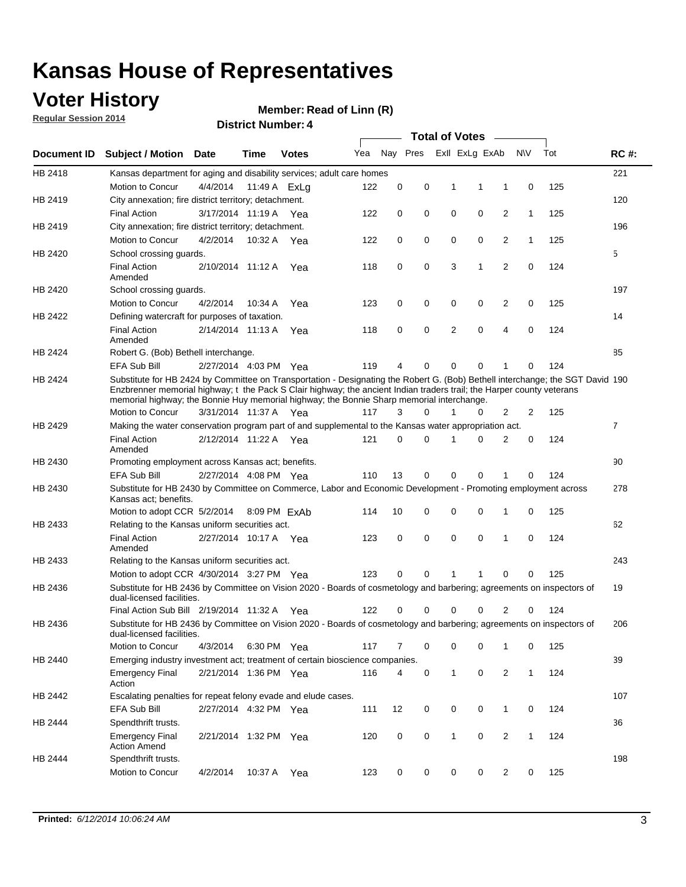### **Voter History**

**Regular Session 2014**

### **Member: Read of Linn (R)**

**District Number: 4**

|             |                                                                                                                                                                                                                                                                                                                                                      |                       | <b>Total of Votes</b> |              |     |             |          |              |                |                |              |     |                |
|-------------|------------------------------------------------------------------------------------------------------------------------------------------------------------------------------------------------------------------------------------------------------------------------------------------------------------------------------------------------------|-----------------------|-----------------------|--------------|-----|-------------|----------|--------------|----------------|----------------|--------------|-----|----------------|
| Document ID | <b>Subject / Motion Date</b>                                                                                                                                                                                                                                                                                                                         |                       | <b>Time</b>           | <b>Votes</b> | Yea |             | Nay Pres |              | Exll ExLg ExAb |                | N\V          | Tot | <b>RC#:</b>    |
| HB 2418     | Kansas department for aging and disability services; adult care homes                                                                                                                                                                                                                                                                                |                       |                       |              |     |             |          |              |                |                |              |     | 221            |
|             | Motion to Concur                                                                                                                                                                                                                                                                                                                                     | 4/4/2014              |                       | 11:49 A ExLa | 122 | 0           | 0        | 1            | 1              | 1              | 0            | 125 |                |
| HB 2419     | City annexation; fire district territory; detachment.                                                                                                                                                                                                                                                                                                |                       |                       |              |     |             |          |              |                |                |              |     | 120            |
|             | <b>Final Action</b>                                                                                                                                                                                                                                                                                                                                  | 3/17/2014 11:19 A Yea |                       |              | 122 | 0           | 0        | 0            | 0              | $\overline{2}$ | $\mathbf{1}$ | 125 |                |
| HB 2419     | City annexation; fire district territory; detachment.                                                                                                                                                                                                                                                                                                |                       |                       |              |     |             |          |              |                |                |              |     | 196            |
|             | Motion to Concur                                                                                                                                                                                                                                                                                                                                     | 4/2/2014              |                       | 10:32 A Yea  | 122 | 0           | 0        | 0            | 0              | 2              | $\mathbf{1}$ | 125 |                |
| HB 2420     | School crossing quards.                                                                                                                                                                                                                                                                                                                              |                       |                       |              |     |             |          |              |                |                |              |     | 5              |
|             | <b>Final Action</b><br>Amended                                                                                                                                                                                                                                                                                                                       | 2/10/2014 11:12 A     |                       | Yea          | 118 | 0           | 0        | 3            | $\mathbf{1}$   | $\overline{2}$ | 0            | 124 |                |
| HB 2420     | School crossing guards.                                                                                                                                                                                                                                                                                                                              |                       |                       |              |     |             |          |              |                |                |              |     | 197            |
|             | Motion to Concur                                                                                                                                                                                                                                                                                                                                     | 4/2/2014              | 10:34 A               | Yea          | 123 | 0           | 0        | 0            | 0              | 2              | 0            | 125 |                |
| HB 2422     | Defining watercraft for purposes of taxation.                                                                                                                                                                                                                                                                                                        |                       |                       |              |     |             |          |              |                |                |              |     | 14             |
|             | <b>Final Action</b><br>Amended                                                                                                                                                                                                                                                                                                                       | 2/14/2014 11:13 A     |                       | Yea          | 118 | 0           | 0        | 2            | $\mathbf 0$    | 4              | 0            | 124 |                |
| HB 2424     | Robert G. (Bob) Bethell interchange.                                                                                                                                                                                                                                                                                                                 |                       |                       |              |     |             |          |              |                |                |              |     | 85             |
|             | EFA Sub Bill                                                                                                                                                                                                                                                                                                                                         | 2/27/2014 4:03 PM Yea |                       |              | 119 | 4           | 0        | 0            | $\mathbf 0$    |                | 0            | 124 |                |
| HB 2424     | Substitute for HB 2424 by Committee on Transportation - Designating the Robert G. (Bob) Bethell interchange; the SGT David 190<br>Enzbrenner memorial highway; t the Pack S Clair highway; the ancient Indian traders trail; the Harper county veterans<br>memorial highway; the Bonnie Huy memorial highway; the Bonnie Sharp memorial interchange. |                       |                       |              |     |             |          |              |                |                |              |     |                |
|             | Motion to Concur                                                                                                                                                                                                                                                                                                                                     | 3/31/2014 11:37 A Yea |                       |              | 117 | 3           | 0        | 1            | 0              | 2              | 2            | 125 |                |
| HB 2429     | Making the water conservation program part of and supplemental to the Kansas water appropriation act.                                                                                                                                                                                                                                                |                       |                       |              |     |             |          |              |                |                |              |     | $\overline{7}$ |
|             | <b>Final Action</b><br>Amended                                                                                                                                                                                                                                                                                                                       | 2/12/2014 11:22 A     |                       | Yea          | 121 | 0           | 0        | 1            | $\Omega$       | 2              | 0            | 124 |                |
| HB 2430     | Promoting employment across Kansas act; benefits.                                                                                                                                                                                                                                                                                                    |                       |                       |              |     |             |          |              |                |                |              |     | 90             |
|             | EFA Sub Bill                                                                                                                                                                                                                                                                                                                                         | 2/27/2014 4:08 PM Yea |                       |              | 110 | 13          | 0        | 0            | $\Omega$       | 1              | $\Omega$     | 124 |                |
| HB 2430     | Substitute for HB 2430 by Committee on Commerce, Labor and Economic Development - Promoting employment across<br>Kansas act; benefits.                                                                                                                                                                                                               |                       |                       |              |     |             |          |              |                |                |              |     | 278            |
|             | Motion to adopt CCR 5/2/2014                                                                                                                                                                                                                                                                                                                         |                       |                       | 8:09 PM ExAb | 114 | 10          | 0        | 0            | $\mathbf 0$    | 1              | 0            | 125 |                |
| HB 2433     | Relating to the Kansas uniform securities act.                                                                                                                                                                                                                                                                                                       |                       |                       |              |     |             |          |              |                |                |              |     | 62             |
|             | <b>Final Action</b><br>Amended                                                                                                                                                                                                                                                                                                                       | 2/27/2014 10:17 A Yea |                       |              | 123 | 0           | 0        | 0            | 0              | 1              | 0            | 124 |                |
| HB 2433     | Relating to the Kansas uniform securities act.                                                                                                                                                                                                                                                                                                       |                       |                       |              |     |             |          |              |                |                |              |     | 243            |
|             | Motion to adopt CCR 4/30/2014 3:27 PM Yea                                                                                                                                                                                                                                                                                                            |                       |                       |              | 123 | 0           | 0        | 1            | 1              | 0              | 0            | 125 |                |
| HB 2436     | Substitute for HB 2436 by Committee on Vision 2020 - Boards of cosmetology and barbering; agreements on inspectors of<br>dual-licensed facilities.                                                                                                                                                                                                   |                       |                       |              |     |             |          |              |                |                |              |     | 19             |
|             | Final Action Sub Bill 2/19/2014 11:32 A                                                                                                                                                                                                                                                                                                              |                       |                       | Yea          | 122 | 0           | 0        | 0            | 0              | 2              | 0            | 124 |                |
| HB 2436     | Substitute for HB 2436 by Committee on Vision 2020 - Boards of cosmetology and barbering; agreements on inspectors of<br>dual-licensed facilities.                                                                                                                                                                                                   |                       |                       |              |     |             |          |              |                |                |              |     | 206            |
|             | Motion to Concur                                                                                                                                                                                                                                                                                                                                     | 4/3/2014              |                       | 6:30 PM Yea  | 117 | 7           | 0        | 0            | 0              | 1              | 0            | 125 |                |
| HB 2440     | Emerging industry investment act; treatment of certain bioscience companies.                                                                                                                                                                                                                                                                         |                       |                       |              |     |             |          |              |                |                |              |     | 39             |
|             | <b>Emergency Final</b><br>Action                                                                                                                                                                                                                                                                                                                     | 2/21/2014 1:36 PM Yea |                       |              | 116 | 4           | 0        | $\mathbf{1}$ | 0              | 2              | $\mathbf{1}$ | 124 |                |
| HB 2442     | Escalating penalties for repeat felony evade and elude cases.                                                                                                                                                                                                                                                                                        |                       |                       |              |     |             |          |              |                |                |              |     | 107            |
|             | EFA Sub Bill                                                                                                                                                                                                                                                                                                                                         | 2/27/2014 4:32 PM Yea |                       |              | 111 | 12          | 0        | 0            | 0              | $\mathbf{1}$   | 0            | 124 |                |
| HB 2444     | Spendthrift trusts.                                                                                                                                                                                                                                                                                                                                  |                       |                       |              |     |             |          |              |                |                |              |     | 36             |
|             | <b>Emergency Final</b><br><b>Action Amend</b>                                                                                                                                                                                                                                                                                                        | 2/21/2014 1:32 PM Yea |                       |              | 120 | $\mathbf 0$ | 0        | $\mathbf{1}$ | 0              | 2              | $\mathbf{1}$ | 124 |                |
| HB 2444     | Spendthrift trusts.                                                                                                                                                                                                                                                                                                                                  |                       |                       |              |     |             |          |              |                |                |              |     | 198            |
|             | Motion to Concur                                                                                                                                                                                                                                                                                                                                     | 4/2/2014              | 10:37 A               | Yea          | 123 | 0           | 0        | 0            | 0              | $\overline{2}$ | 0            | 125 |                |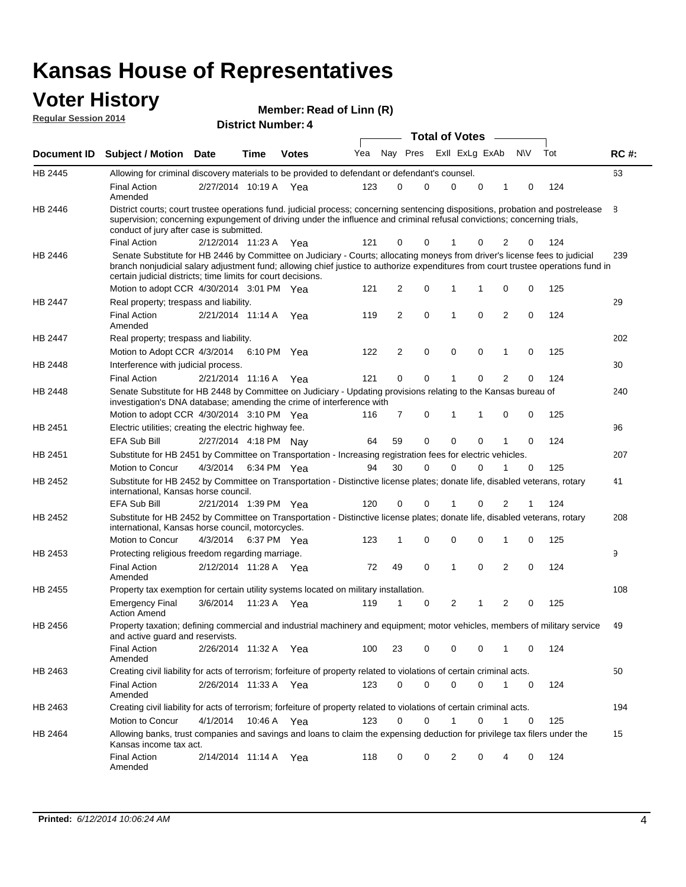### **Voter History**

| <b>VULGE LIISLUI Y</b><br><b>Regular Session 2014</b> |                                                                                                                                                                                                                                                                                                                                 |                       | <b>District Number: 4</b> |              | Member: Read of Linn (R) |                       |                     |  |          |          |                |           |     |              |  |
|-------------------------------------------------------|---------------------------------------------------------------------------------------------------------------------------------------------------------------------------------------------------------------------------------------------------------------------------------------------------------------------------------|-----------------------|---------------------------|--------------|--------------------------|-----------------------|---------------------|--|----------|----------|----------------|-----------|-----|--------------|--|
|                                                       |                                                                                                                                                                                                                                                                                                                                 |                       |                           |              |                          | <b>Total of Votes</b> |                     |  |          |          |                |           |     |              |  |
| Document ID                                           | <b>Subject / Motion</b>                                                                                                                                                                                                                                                                                                         | <b>Date</b>           | Time                      | <b>Votes</b> | Yea                      | Nav                   | Pres ExII ExLg ExAb |  |          |          |                | <b>NV</b> | Tot | <b>RC#:</b>  |  |
| HB 2445                                               | Allowing for criminal discovery materials to be provided to defendant or defendant's counsel.                                                                                                                                                                                                                                   |                       |                           |              |                          |                       |                     |  |          |          |                |           |     | 63           |  |
|                                                       | <b>Final Action</b><br>Amended                                                                                                                                                                                                                                                                                                  | 2/27/2014 10:19 A Yea |                           |              | 123                      | $\Omega$              | $\Omega$            |  | $\Omega$ | $\Omega$ |                | $\Omega$  | 124 |              |  |
| HB 2446                                               | District courts; court trustee operations fund. judicial process; concerning sentencing dispositions, probation and postrelease<br>supervision; concerning expungement of driving under the influence and criminal refusal convictions; concerning trials,<br>conduct of jury after case is submitted.                          |                       |                           |              |                          |                       |                     |  |          |          |                |           |     | <sup>8</sup> |  |
|                                                       | <b>Final Action</b>                                                                                                                                                                                                                                                                                                             | 2/12/2014 11:23 A     |                           | Yea          | 121                      | 0                     | $\Omega$            |  |          | $\Omega$ | 2              | $\Omega$  | 124 |              |  |
| HB 2446                                               | Senate Substitute for HB 2446 by Committee on Judiciary - Courts; allocating moneys from driver's license fees to judicial<br>branch nonjudicial salary adjustment fund; allowing chief justice to authorize expenditures from court trustee operations fund in<br>certain judicial districts; time limits for court decisions. |                       |                           |              |                          |                       |                     |  |          |          |                | 239       |     |              |  |
|                                                       | Motion to adopt CCR 4/30/2014 3:01 PM Yea                                                                                                                                                                                                                                                                                       |                       |                           |              | 121                      | $\overline{2}$        | $\Omega$            |  | 1        | 1        | $\Omega$       | $\Omega$  | 125 |              |  |
| <b>HB 2447</b>                                        | Real property; trespass and liability.                                                                                                                                                                                                                                                                                          |                       |                           |              |                          |                       |                     |  |          |          |                |           |     | 29           |  |
|                                                       | <b>Final Action</b><br>Amended                                                                                                                                                                                                                                                                                                  | 2/21/2014 11:14 A     |                           | Yea          | 119                      | $\mathfrak{p}$        | $\Omega$            |  | 1        | $\Omega$ | $\mathfrak{p}$ | $\Omega$  | 124 |              |  |
| <b>HB 2447</b>                                        | Real property; trespass and liability.                                                                                                                                                                                                                                                                                          |                       |                           |              |                          |                       |                     |  |          |          |                |           |     | 202          |  |
|                                                       | Motion to Adopt CCR 4/3/2014 6:10 PM Yea                                                                                                                                                                                                                                                                                        |                       |                           |              | 122                      | 2                     | $\Omega$            |  | 0        | $\Omega$ | 1              | $\Omega$  | 125 |              |  |
| HB 2448                                               | Interference with judicial process.                                                                                                                                                                                                                                                                                             |                       |                           |              |                          |                       |                     |  |          |          |                |           |     | 30           |  |
|                                                       | <b>Final Action</b>                                                                                                                                                                                                                                                                                                             | 2/21/2014 11:16 A     |                           | Yea          | 121                      | $\Omega$              | $\Omega$            |  |          | 0        | 2              | $\Omega$  | 124 |              |  |
| <b>HB 2448</b>                                        | Senate Substitute for HB 2448 by Committee on Judiciary - Updating provisions relating to the Kansas bureau of<br>investigation's DNA database: amending the crime of interference with                                                                                                                                         |                       |                           |              |                          |                       |                     |  |          |          |                |           |     | 240          |  |

| <b>HB 2448</b><br>Senate Substitute for HB 2448 by Committee on Judiciary - Updating provisions relating to the Kansas bureau of<br>investigation's DNA database; amending the crime of interference with |                                                                                                                                                                                 |                       |                       |       |     |                |             |          |          |                |          |     | 240 |
|-----------------------------------------------------------------------------------------------------------------------------------------------------------------------------------------------------------|---------------------------------------------------------------------------------------------------------------------------------------------------------------------------------|-----------------------|-----------------------|-------|-----|----------------|-------------|----------|----------|----------------|----------|-----|-----|
|                                                                                                                                                                                                           | Motion to adopt CCR 4/30/2014 3:10 PM Yea                                                                                                                                       |                       |                       |       | 116 | $\overline{7}$ | 0           |          |          | $\Omega$       | 0        | 125 |     |
| HB 2451                                                                                                                                                                                                   | Electric utilities; creating the electric highway fee.                                                                                                                          |                       |                       |       |     |                |             |          |          |                |          |     | 96  |
|                                                                                                                                                                                                           | <b>EFA Sub Bill</b>                                                                                                                                                             | 2/27/2014 4:18 PM Nay |                       |       | 64  | 59             | 0           | $\Omega$ | $\Omega$ |                | 0        | 124 |     |
| HB 2451                                                                                                                                                                                                   | Substitute for HB 2451 by Committee on Transportation - Increasing registration fees for electric vehicles.                                                                     |                       |                       |       |     |                |             |          |          |                |          |     | 207 |
|                                                                                                                                                                                                           | Motion to Concur                                                                                                                                                                | 4/3/2014              | 6:34 PM Yea           |       | 94  | 30             | $\Omega$    | $\Omega$ | $\Omega$ |                | 0        | 125 |     |
| <b>HB 2452</b>                                                                                                                                                                                            | Substitute for HB 2452 by Committee on Transportation - Distinctive license plates; donate life, disabled veterans, rotary<br>international, Kansas horse council.              |                       |                       |       |     |                |             |          |          |                |          | 41  |     |
|                                                                                                                                                                                                           | EFA Sub Bill                                                                                                                                                                    | 2/21/2014 1:39 PM Yea |                       |       | 120 | $\Omega$       | 0           |          | $\Omega$ | 2              | 1        | 124 |     |
| <b>HB 2452</b>                                                                                                                                                                                            | Substitute for HB 2452 by Committee on Transportation - Distinctive license plates; donate life, disabled veterans, rotary<br>international, Kansas horse council, motorcycles. |                       |                       |       |     |                |             |          |          |                |          |     | 208 |
|                                                                                                                                                                                                           | Motion to Concur                                                                                                                                                                | 4/3/2014 6:37 PM Yea  |                       |       | 123 | 1              | 0           | 0        | 0        | 1              | 0        | 125 |     |
| HB 2453                                                                                                                                                                                                   | Protecting religious freedom regarding marriage.                                                                                                                                |                       |                       |       |     |                |             |          |          |                |          |     | 9   |
|                                                                                                                                                                                                           | <b>Final Action</b><br>Amended                                                                                                                                                  | 2/12/2014 11:28 A Yea |                       |       | 72  | 49             | $\Omega$    | 1        | $\Omega$ | 2              | $\Omega$ | 124 |     |
| <b>HB 2455</b>                                                                                                                                                                                            | Property tax exemption for certain utility systems located on military installation.                                                                                            |                       |                       |       |     |                |             |          |          |                |          |     | 108 |
|                                                                                                                                                                                                           | <b>Emergency Final</b><br><b>Action Amend</b>                                                                                                                                   | 3/6/2014              | 11:23 A Yea           |       | 119 | 1              | 0           | 2        |          | $\overline{2}$ | 0        | 125 |     |
| HB 2456                                                                                                                                                                                                   | Property taxation; defining commercial and industrial machinery and equipment; motor vehicles, members of military service<br>and active guard and reservists.                  |                       |                       |       |     |                |             |          |          |                |          |     | 49  |
|                                                                                                                                                                                                           | <b>Final Action</b><br>Amended                                                                                                                                                  |                       | 2/26/2014 11:32 A Yea |       | 100 | 23             | $\Omega$    | $\Omega$ | $\Omega$ | 1              | $\Omega$ | 124 |     |
| HB 2463                                                                                                                                                                                                   | Creating civil liability for acts of terrorism; forfeiture of property related to violations of certain criminal acts.                                                          |                       |                       |       |     |                |             |          |          |                |          |     | 50  |
|                                                                                                                                                                                                           | <b>Final Action</b><br>Amended                                                                                                                                                  |                       | 2/26/2014 11:33 A Yea |       | 123 | $\Omega$       | $\Omega$    | $\Omega$ | $\Omega$ | 1              | $\Omega$ | 124 |     |
| HB 2463                                                                                                                                                                                                   | Creating civil liability for acts of terrorism; forfeiture of property related to violations of certain criminal acts.                                                          |                       |                       |       |     |                |             |          |          |                |          |     | 194 |
|                                                                                                                                                                                                           | Motion to Concur                                                                                                                                                                | 4/1/2014              | 10:46 A Yea           |       | 123 | $\Omega$       | $\mathbf 0$ |          | $\Omega$ |                | 0        | 125 |     |
| <b>HB 2464</b>                                                                                                                                                                                            | Allowing banks, trust companies and savings and loans to claim the expensing deduction for privilege tax filers under the<br>Kansas income tax act.                             |                       |                       |       |     |                |             |          |          |                |          | 15  |     |
|                                                                                                                                                                                                           | <b>Final Action</b><br>Amended                                                                                                                                                  | 2/14/2014 11:14 A     |                       | - Yea | 118 | 0              | $\Omega$    | 2        | $\Omega$ | 4              | 0        | 124 |     |
|                                                                                                                                                                                                           |                                                                                                                                                                                 |                       |                       |       |     |                |             |          |          |                |          |     |     |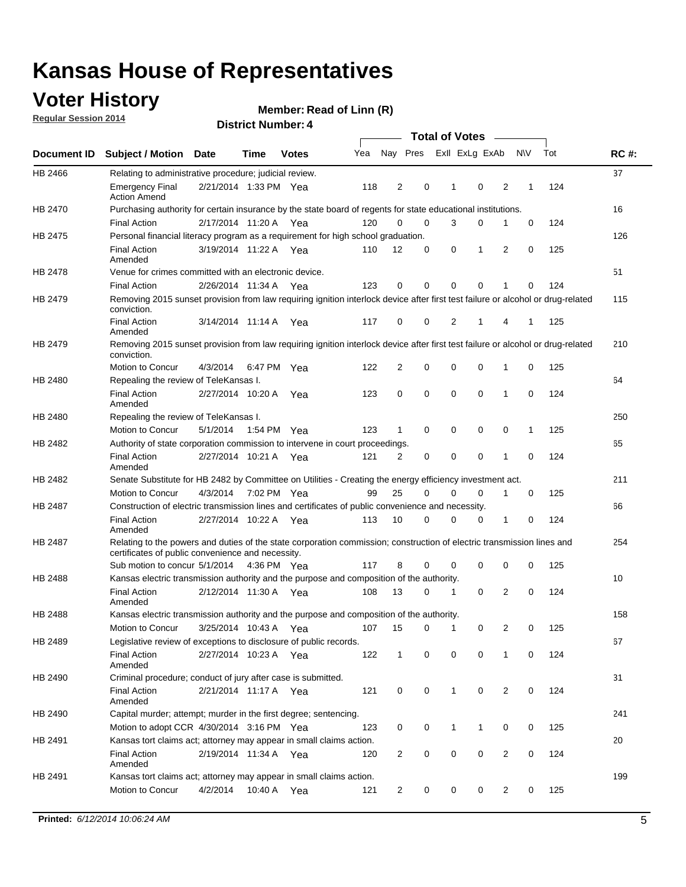### **Voter History**

**Regular Session 2014**

|                    |                                                                                                                                                                             |                       |      | <b>Total of Votes</b> |     |                |             |                |             |                |             |     |             |
|--------------------|-----------------------------------------------------------------------------------------------------------------------------------------------------------------------------|-----------------------|------|-----------------------|-----|----------------|-------------|----------------|-------------|----------------|-------------|-----|-------------|
| <b>Document ID</b> | <b>Subject / Motion</b>                                                                                                                                                     | <b>Date</b>           | Time | <b>Votes</b>          | Yea | Nay Pres       |             | Exll ExLg ExAb |             |                | <b>NV</b>   | Tot | <b>RC#:</b> |
| HB 2466            | Relating to administrative procedure; judicial review.                                                                                                                      |                       |      |                       |     |                |             |                |             |                |             |     | 37          |
|                    | <b>Emergency Final</b><br><b>Action Amend</b>                                                                                                                               | 2/21/2014 1:33 PM Yea |      |                       | 118 | $\overline{2}$ | 0           | 1              | $\mathbf 0$ | 2              | 1           | 124 |             |
| <b>HB 2470</b>     | Purchasing authority for certain insurance by the state board of regents for state educational institutions.                                                                |                       |      |                       |     |                |             |                |             |                |             |     | 16          |
|                    | <b>Final Action</b>                                                                                                                                                         | 2/17/2014 11:20 A Yea |      |                       | 120 | $\mathbf 0$    | $\mathbf 0$ | 3              | 0           | 1              | $\mathbf 0$ | 124 |             |
| HB 2475            | Personal financial literacy program as a requirement for high school graduation.                                                                                            |                       |      |                       |     |                |             |                |             |                |             |     | 126         |
|                    | <b>Final Action</b><br>Amended                                                                                                                                              | 3/19/2014 11:22 A Yea |      |                       | 110 | 12             | 0           | 0              | 1           | 2              | 0           | 125 |             |
| HB 2478            | Venue for crimes committed with an electronic device.                                                                                                                       |                       |      |                       |     |                |             |                |             |                |             |     | 51          |
|                    | <b>Final Action</b>                                                                                                                                                         | 2/26/2014 11:34 A     |      | Yea                   | 123 | 0              | 0           | $\Omega$       | $\mathbf 0$ | 1              | 0           | 124 |             |
| HB 2479            | Removing 2015 sunset provision from law requiring ignition interlock device after first test failure or alcohol or drug-related<br>conviction.                              |                       |      |                       |     |                |             |                |             |                |             |     | 115         |
|                    | <b>Final Action</b><br>Amended                                                                                                                                              | 3/14/2014 11:14 A     |      | Yea                   | 117 | 0              | 0           | $\overline{2}$ | 1           | 4              | 1           | 125 |             |
| HB 2479            | Removing 2015 sunset provision from law requiring ignition interlock device after first test failure or alcohol or drug-related<br>conviction.                              |                       |      |                       |     |                |             |                |             |                |             |     | 210         |
|                    | Motion to Concur                                                                                                                                                            | 4/3/2014              |      | 6:47 PM Yea           | 122 | $\overline{2}$ | $\mathbf 0$ | $\mathbf 0$    | $\mathbf 0$ | 1              | 0           | 125 |             |
| HB 2480            | Repealing the review of TeleKansas I.                                                                                                                                       |                       |      |                       |     |                |             |                |             |                |             |     | 64          |
|                    | <b>Final Action</b><br>Amended                                                                                                                                              | 2/27/2014 10:20 A Yea |      |                       | 123 | 0              | $\mathbf 0$ | $\mathbf 0$    | $\mathbf 0$ | 1              | 0           | 124 |             |
| HB 2480            | Repealing the review of TeleKansas I.                                                                                                                                       |                       |      |                       |     |                |             |                |             |                |             |     | 250         |
|                    | Motion to Concur                                                                                                                                                            | 5/1/2014              |      | 1:54 PM Yea           | 123 | 1              | 0           | 0              | 0           | 0              | 1           | 125 |             |
| HB 2482            | Authority of state corporation commission to intervene in court proceedings.                                                                                                |                       |      |                       |     |                |             |                |             |                |             |     | 65          |
|                    | <b>Final Action</b><br>Amended                                                                                                                                              | 2/27/2014 10:21 A     |      | Yea                   | 121 | $\overline{2}$ | 0           | $\mathbf 0$    | $\mathbf 0$ | 1              | 0           | 124 |             |
| HB 2482            | Senate Substitute for HB 2482 by Committee on Utilities - Creating the energy efficiency investment act.                                                                    |                       |      |                       |     |                |             |                |             |                |             |     | 211         |
|                    | Motion to Concur                                                                                                                                                            | 4/3/2014 7:02 PM Yea  |      |                       | 99  | 25             | 0           | $\Omega$       | 0           | 1              | 0           | 125 |             |
| HB 2487            | Construction of electric transmission lines and certificates of public convenience and necessity.                                                                           |                       |      |                       |     |                |             |                |             |                |             |     | 66          |
|                    | <b>Final Action</b><br>Amended                                                                                                                                              | 2/27/2014 10:22 A     |      | Yea                   | 113 | 10             | 0           | $\mathbf 0$    | 0           | 1              | 0           | 124 |             |
| HB 2487            | Relating to the powers and duties of the state corporation commission; construction of electric transmission lines and<br>certificates of public convenience and necessity. |                       |      |                       |     |                |             |                |             |                |             |     | 254         |
|                    | Sub motion to concur 5/1/2014 4:36 PM Yea                                                                                                                                   |                       |      |                       | 117 | 8              | 0           | 0              | $\mathbf 0$ | 0              | 0           | 125 |             |
| HB 2488            | Kansas electric transmission authority and the purpose and composition of the authority.                                                                                    |                       |      |                       |     |                |             |                |             |                |             |     | 10          |
|                    | <b>Final Action</b><br>Amended                                                                                                                                              | 2/12/2014 11:30 A     |      | Yea                   | 108 | 13             | 0           | 1              | 0           | 2              | 0           | 124 |             |
| HB 2488            | Kansas electric transmission authority and the purpose and composition of the authority.                                                                                    |                       |      |                       |     |                |             |                |             |                |             |     | 158         |
|                    | Motion to Concur                                                                                                                                                            | 3/25/2014 10:43 A     |      | Yea                   | 107 | 15             | 0           | $\mathbf 1$    | 0           | 2              | 0           | 125 |             |
| HB 2489            | Legislative review of exceptions to disclosure of public records.                                                                                                           |                       |      |                       |     |                |             |                |             |                |             |     | 67          |
|                    | <b>Final Action</b><br>Amended                                                                                                                                              | 2/27/2014 10:23 A Yea |      |                       | 122 | $\mathbf{1}$   | 0           | 0              | 0           | 1              | 0           | 124 |             |
| HB 2490            | Criminal procedure; conduct of jury after case is submitted.                                                                                                                |                       |      |                       |     |                |             |                |             |                |             |     | 31          |
|                    | <b>Final Action</b><br>Amended                                                                                                                                              | 2/21/2014 11:17 A Yea |      |                       | 121 | 0              | 0           | $\mathbf{1}$   | 0           | 2              | 0           | 124 |             |
| HB 2490            | Capital murder; attempt; murder in the first degree; sentencing.                                                                                                            |                       |      |                       |     |                |             |                |             |                |             |     | 241         |
|                    | Motion to adopt CCR 4/30/2014 3:16 PM Yea                                                                                                                                   |                       |      |                       | 123 | 0              | 0           | 1              | 1           | 0              | 0           | 125 |             |
| HB 2491            | Kansas tort claims act; attorney may appear in small claims action.                                                                                                         |                       |      |                       |     |                |             |                |             |                |             |     | 20          |
|                    | <b>Final Action</b><br>Amended                                                                                                                                              | 2/19/2014 11:34 A Yea |      |                       | 120 | $\overline{c}$ | 0           | 0              | 0           | $\overline{2}$ | 0           | 124 |             |
| HB 2491            | Kansas tort claims act; attorney may appear in small claims action.                                                                                                         |                       |      |                       |     |                |             |                |             |                |             |     | 199         |
|                    | Motion to Concur                                                                                                                                                            | 4/2/2014              |      | 10:40 A Yea           | 121 | 2              | 0           | 0              | 0           | $\overline{2}$ | 0           | 125 |             |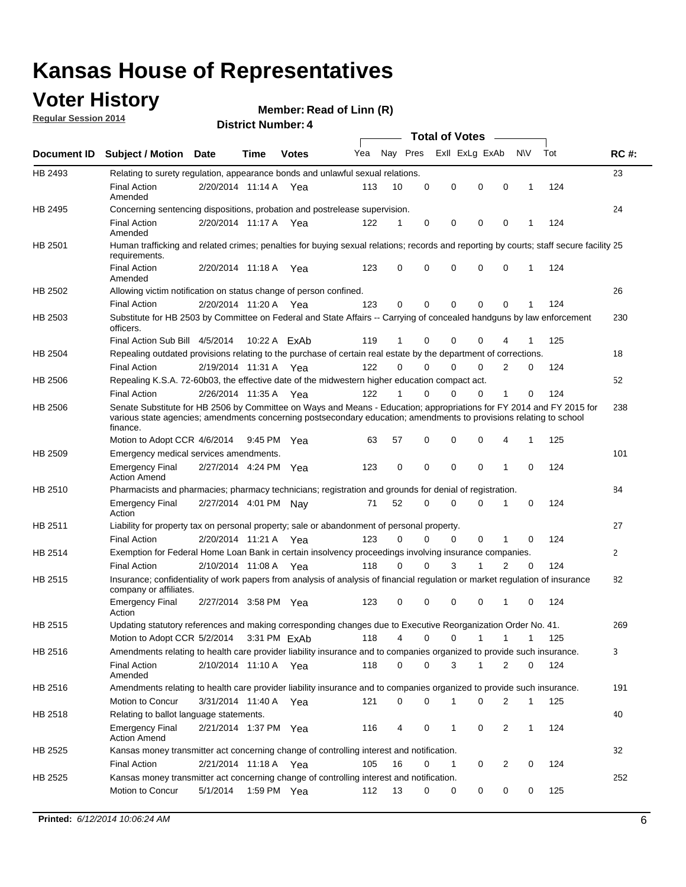### **Voter History**

**Regular Session 2014**

#### **Member: Read of Linn (R)**

**District Number: 4**

|         | <b>Total of Votes</b>                                                                                                                                                                                                                                  |                       |             |              |     |             |             |                |             |              |              |     |             |
|---------|--------------------------------------------------------------------------------------------------------------------------------------------------------------------------------------------------------------------------------------------------------|-----------------------|-------------|--------------|-----|-------------|-------------|----------------|-------------|--------------|--------------|-----|-------------|
|         | Document ID Subject / Motion Date                                                                                                                                                                                                                      |                       | Time        | <b>Votes</b> | Yea | Nay Pres    |             | Exll ExLg ExAb |             |              | <b>NV</b>    | Tot | <b>RC#:</b> |
| HB 2493 | Relating to surety regulation, appearance bonds and unlawful sexual relations.                                                                                                                                                                         |                       |             |              |     |             |             |                |             |              |              |     | 23          |
|         | <b>Final Action</b><br>Amended                                                                                                                                                                                                                         | 2/20/2014 11:14 A Yea |             |              | 113 | 10          | 0           | 0              | $\mathbf 0$ | $\mathbf 0$  | 1            | 124 |             |
| HB 2495 | Concerning sentencing dispositions, probation and postrelease supervision.                                                                                                                                                                             |                       |             |              |     |             |             |                |             |              |              |     | 24          |
|         | Final Action<br>Amended                                                                                                                                                                                                                                | 2/20/2014 11:17 A Yea |             |              | 122 | 1           | 0           | 0              | $\mathbf 0$ | 0            |              | 124 |             |
| HB 2501 | Human trafficking and related crimes; penalties for buying sexual relations; records and reporting by courts; staff secure facility 25<br>requirements.                                                                                                |                       |             |              |     |             |             |                |             |              |              |     |             |
|         | <b>Final Action</b><br>Amended                                                                                                                                                                                                                         | 2/20/2014 11:18 A Yea |             |              | 123 | $\Omega$    | 0           | $\Omega$       | $\mathbf 0$ | $\Omega$     | 1            | 124 |             |
| HB 2502 | Allowing victim notification on status change of person confined.                                                                                                                                                                                      |                       |             |              |     |             |             |                |             |              |              |     | 26          |
|         | Final Action                                                                                                                                                                                                                                           | 2/20/2014 11:20 A Yea |             |              | 123 | $\Omega$    | 0           | 0              | 0           | $\Omega$     |              | 124 |             |
| HB 2503 | Substitute for HB 2503 by Committee on Federal and State Affairs -- Carrying of concealed handguns by law enforcement<br>officers.                                                                                                                     |                       |             |              |     |             |             |                |             |              |              |     | 230         |
|         | Final Action Sub Bill 4/5/2014                                                                                                                                                                                                                         |                       |             | 10:22 A ExAb | 119 | 1           | 0           | $\Omega$       | $\Omega$    | 4            |              | 125 |             |
| HB 2504 | Repealing outdated provisions relating to the purchase of certain real estate by the department of corrections.                                                                                                                                        |                       |             |              |     |             |             |                |             |              |              |     | 18          |
|         | <b>Final Action</b>                                                                                                                                                                                                                                    | 2/19/2014 11:31 A Yea |             |              | 122 | $\Omega$    | $\Omega$    | 0              | $\Omega$    | 2            | 0            | 124 |             |
| HB 2506 | Repealing K.S.A. 72-60b03, the effective date of the midwestern higher education compact act.                                                                                                                                                          |                       |             |              |     |             |             |                |             |              |              |     | 52          |
|         | <b>Final Action</b>                                                                                                                                                                                                                                    | 2/26/2014 11:35 A Yea |             |              | 122 | 1           | $\Omega$    | $\Omega$       | $\Omega$    | 1            | 0            | 124 |             |
| HB 2506 | Senate Substitute for HB 2506 by Committee on Ways and Means - Education; appropriations for FY 2014 and FY 2015 for<br>various state agencies; amendments concerning postsecondary education; amendments to provisions relating to school<br>finance. |                       |             |              |     |             |             |                |             |              |              |     | 238         |
|         | Motion to Adopt CCR 4/6/2014                                                                                                                                                                                                                           |                       | 9:45 PM Yea |              | 63  | 57          | 0           | $\mathbf 0$    | 0           | 4            | 1            | 125 |             |
| HB 2509 | Emergency medical services amendments.                                                                                                                                                                                                                 |                       |             |              |     |             |             |                |             |              |              |     | 101         |
|         | Emergency Final<br><b>Action Amend</b>                                                                                                                                                                                                                 | 2/27/2014 4:24 PM Yea |             |              | 123 | $\mathbf 0$ | $\mathbf 0$ | $\mathbf 0$    | $\mathbf 0$ | 1            | 0            | 124 |             |
| HB 2510 | Pharmacists and pharmacies; pharmacy technicians; registration and grounds for denial of registration.                                                                                                                                                 |                       |             |              |     |             |             |                |             |              |              |     | 84          |
|         | <b>Emergency Final</b><br>Action                                                                                                                                                                                                                       | 2/27/2014 4:01 PM Nay |             |              | 71  | 52          | 0           | $\Omega$       | $\Omega$    | 1            | $\Omega$     | 124 |             |
| HB 2511 | Liability for property tax on personal property; sale or abandonment of personal property.                                                                                                                                                             |                       |             |              |     |             |             |                |             |              |              |     | 27          |
|         | <b>Final Action</b>                                                                                                                                                                                                                                    | 2/20/2014 11:21 A Yea |             |              | 123 | $\Omega$    | $\Omega$    | $\Omega$       | $\mathbf 0$ | 1            | 0            | 124 |             |
| HB 2514 | Exemption for Federal Home Loan Bank in certain insolvency proceedings involving insurance companies.                                                                                                                                                  |                       |             |              |     |             |             |                |             |              |              |     | 2           |
|         | <b>Final Action</b>                                                                                                                                                                                                                                    | 2/10/2014 11:08 A Yea |             |              | 118 | $\Omega$    | 0           | 3              | 1           | 2            | $\mathbf 0$  | 124 |             |
| HB 2515 | Insurance; confidentiality of work papers from analysis of analysis of financial regulation or market regulation of insurance<br>company or affiliates.                                                                                                |                       |             |              |     |             |             |                |             |              |              |     | 82          |
|         | <b>Emergency Final</b><br>Action                                                                                                                                                                                                                       | 2/27/2014 3:58 PM Yea |             |              | 123 | 0           | 0           | $\mathbf 0$    | 0           | 1            | 0            | 124 |             |
| HB 2515 | Updating statutory references and making corresponding changes due to Executive Reorganization Order No. 41.                                                                                                                                           |                       |             |              |     |             |             |                |             |              |              |     | 269         |
|         | Motion to Adopt CCR 5/2/2014 3:31 PM ExAb                                                                                                                                                                                                              |                       |             |              | 118 | 4           | 0           | 0              | 1           | $\mathbf{1}$ | $\mathbf{1}$ | 125 |             |
| HB 2516 | Amendments relating to health care provider liability insurance and to companies organized to provide such insurance.                                                                                                                                  |                       |             |              |     |             |             |                |             |              |              |     | 3           |
|         | <b>Final Action</b><br>Amended                                                                                                                                                                                                                         | 2/10/2014 11:10 A Yea |             |              | 118 | 0           | 0           | 3              | 1           | 2            | 0            | 124 |             |
| HB 2516 | Amendments relating to health care provider liability insurance and to companies organized to provide such insurance.                                                                                                                                  |                       |             |              |     |             |             |                |             |              |              |     | 191         |
|         | Motion to Concur                                                                                                                                                                                                                                       | 3/31/2014 11:40 A Yea |             |              | 121 | 0           | 0           | 1              | 0           | 2            | 1            | 125 |             |
| HB 2518 | Relating to ballot language statements.                                                                                                                                                                                                                |                       |             |              |     |             |             |                |             |              |              |     | 40          |
|         | Emergency Final<br><b>Action Amend</b>                                                                                                                                                                                                                 | 2/21/2014 1:37 PM Yea |             |              | 116 | 4           | 0           | 1              | 0           | 2            | 1            | 124 |             |
| HB 2525 | Kansas money transmitter act concerning change of controlling interest and notification.                                                                                                                                                               |                       |             |              |     |             |             |                |             |              |              |     | 32          |
|         | <b>Final Action</b>                                                                                                                                                                                                                                    | 2/21/2014 11:18 A Yea |             |              | 105 | 16          | 0           | 1              | 0           | 2            | 0            | 124 |             |
| HB 2525 | Kansas money transmitter act concerning change of controlling interest and notification.                                                                                                                                                               |                       |             |              |     |             |             |                |             |              |              |     | 252         |
|         | Motion to Concur                                                                                                                                                                                                                                       | 5/1/2014              |             | 1:59 PM Yea  | 112 | 13          | 0           | 0              | 0           | 0            | 0            | 125 |             |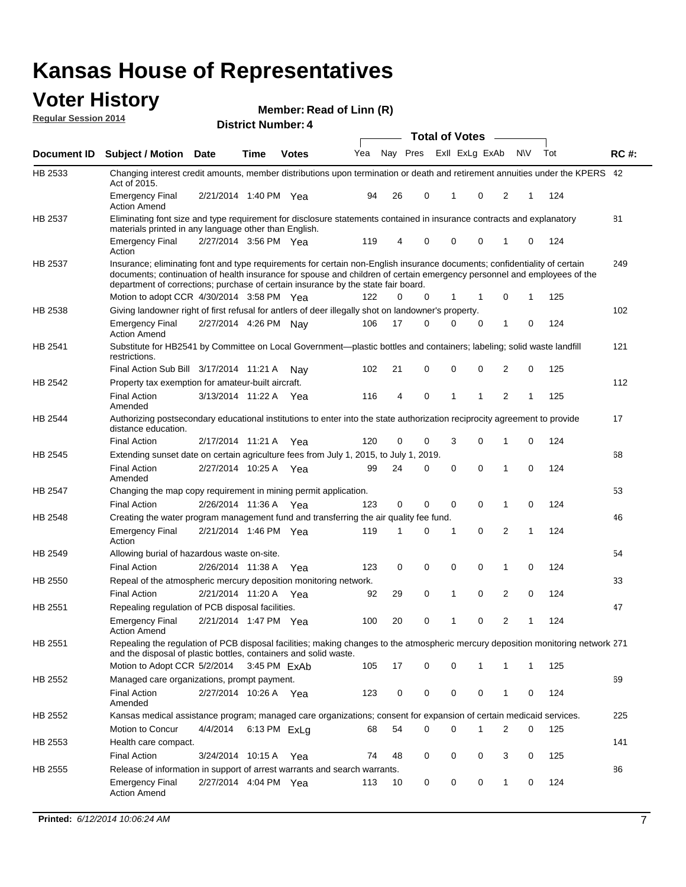### **Voter History Regular Session 2014**

|                |                                                                                                                                                                                                                                                                                                                                                                                        | <b>Total of Votes</b> |              |              |     |    |                         |              |             |  |   |           |     |             |
|----------------|----------------------------------------------------------------------------------------------------------------------------------------------------------------------------------------------------------------------------------------------------------------------------------------------------------------------------------------------------------------------------------------|-----------------------|--------------|--------------|-----|----|-------------------------|--------------|-------------|--|---|-----------|-----|-------------|
| Document ID    | <b>Subject / Motion</b>                                                                                                                                                                                                                                                                                                                                                                | Date                  | Time         | <b>Votes</b> | Yea |    | Nay Pres Exll ExLg ExAb |              |             |  |   | <b>NV</b> | Tot | <b>RC#:</b> |
| HB 2533        | Changing interest credit amounts, member distributions upon termination or death and retirement annuities under the KPERS 42<br>Act of 2015.                                                                                                                                                                                                                                           |                       |              |              |     |    |                         |              |             |  |   |           |     |             |
|                | <b>Emergency Final</b><br><b>Action Amend</b>                                                                                                                                                                                                                                                                                                                                          | 2/21/2014 1:40 PM Yea |              |              | 94  | 26 | 0                       | $\mathbf 1$  | $\mathbf 0$ |  | 2 | 1         | 124 |             |
| HB 2537        | Eliminating font size and type requirement for disclosure statements contained in insurance contracts and explanatory<br>materials printed in any language other than English.                                                                                                                                                                                                         |                       |              |              |     |    |                         |              |             |  |   |           |     | 81          |
|                | <b>Emergency Final</b><br>Action                                                                                                                                                                                                                                                                                                                                                       | 2/27/2014 3:56 PM Yea |              |              | 119 | 4  | 0                       | 0            | 0           |  | 1 | 0         | 124 |             |
| HB 2537        | Insurance; eliminating font and type requirements for certain non-English insurance documents; confidentiality of certain<br>documents; continuation of health insurance for spouse and children of certain emergency personnel and employees of the<br>department of corrections; purchase of certain insurance by the state fair board.<br>Motion to adopt CCR 4/30/2014 3:58 PM Yea |                       |              |              | 122 | 0  | 0                       | 1            | 1           |  | 0 | 1         | 125 | 249         |
| HB 2538        | Giving landowner right of first refusal for antlers of deer illegally shot on landowner's property.                                                                                                                                                                                                                                                                                    |                       |              |              |     |    |                         |              |             |  |   |           |     | 102         |
|                | <b>Emergency Final</b><br><b>Action Amend</b>                                                                                                                                                                                                                                                                                                                                          | 2/27/2014 4:26 PM Nay |              |              | 106 | 17 | 0                       | $\Omega$     | 0           |  | 1 | 0         | 124 |             |
| HB 2541        | Substitute for HB2541 by Committee on Local Government—plastic bottles and containers; labeling; solid waste landfill<br>restrictions.                                                                                                                                                                                                                                                 |                       |              |              |     |    |                         |              |             |  |   |           |     | 121         |
|                | Final Action Sub Bill 3/17/2014 11:21 A Nav                                                                                                                                                                                                                                                                                                                                            |                       |              |              | 102 | 21 | 0                       | 0            | 0           |  | 2 | 0         | 125 |             |
| HB 2542        | Property tax exemption for amateur-built aircraft.                                                                                                                                                                                                                                                                                                                                     |                       |              |              |     |    |                         |              |             |  |   |           |     | 112         |
|                | <b>Final Action</b><br>Amended                                                                                                                                                                                                                                                                                                                                                         | 3/13/2014 11:22 A Yea |              |              | 116 | 4  | 0                       | $\mathbf{1}$ | 1           |  | 2 | 1         | 125 |             |
| HB 2544        | Authorizing postsecondary educational institutions to enter into the state authorization reciprocity agreement to provide<br>distance education.                                                                                                                                                                                                                                       |                       |              |              |     |    |                         |              |             |  |   |           |     | 17          |
|                | <b>Final Action</b>                                                                                                                                                                                                                                                                                                                                                                    | 2/17/2014 11:21 A Yea |              |              | 120 | 0  | 0                       | 3            | 0           |  | 1 | 0         | 124 |             |
| HB 2545        | Extending sunset date on certain agriculture fees from July 1, 2015, to July 1, 2019.                                                                                                                                                                                                                                                                                                  |                       |              |              |     |    |                         |              |             |  |   |           |     | 68          |
|                | <b>Final Action</b><br>Amended                                                                                                                                                                                                                                                                                                                                                         | 2/27/2014 10:25 A Yea |              |              | 99  | 24 | 0                       | $\mathbf 0$  | $\Omega$    |  | 1 | 0         | 124 |             |
| <b>HB 2547</b> | Changing the map copy requirement in mining permit application.                                                                                                                                                                                                                                                                                                                        |                       |              |              |     |    |                         |              |             |  |   |           |     | 53          |
|                | <b>Final Action</b>                                                                                                                                                                                                                                                                                                                                                                    | 2/26/2014 11:36 A     |              | Yea          | 123 | 0  | 0                       | 0            | 0           |  | 1 | 0         | 124 |             |
| HB 2548        | Creating the water program management fund and transferring the air quality fee fund.                                                                                                                                                                                                                                                                                                  |                       |              |              |     |    |                         |              |             |  |   |           |     | 46          |
|                | <b>Emergency Final</b><br>Action                                                                                                                                                                                                                                                                                                                                                       | 2/21/2014 1:46 PM Yea |              |              | 119 | 1  | 0                       | -1           | 0           |  | 2 | 1         | 124 |             |
| HB 2549        | Allowing burial of hazardous waste on-site.                                                                                                                                                                                                                                                                                                                                            |                       |              |              |     |    |                         |              |             |  |   |           |     | 54          |
|                | <b>Final Action</b>                                                                                                                                                                                                                                                                                                                                                                    | 2/26/2014 11:38 A     |              | Yea          | 123 | 0  | 0                       | $\mathbf 0$  | 0           |  | 1 | 0         | 124 |             |
| HB 2550        | Repeal of the atmospheric mercury deposition monitoring network.                                                                                                                                                                                                                                                                                                                       |                       |              |              |     |    |                         |              |             |  |   |           |     | 33          |
|                | <b>Final Action</b>                                                                                                                                                                                                                                                                                                                                                                    | 2/21/2014 11:20 A Yea |              |              | 92  | 29 | 0                       | $\mathbf{1}$ | 0           |  | 2 | 0         | 124 |             |
| HB 2551        | Repealing regulation of PCB disposal facilities.                                                                                                                                                                                                                                                                                                                                       |                       |              |              |     |    |                         |              |             |  |   |           |     | 47          |
|                | <b>Emergency Final</b><br>Action Amend                                                                                                                                                                                                                                                                                                                                                 | 2/21/2014 1:47 PM Yea |              |              | 100 | 20 | 0                       | $\mathbf{1}$ | 0           |  | 2 | 1         | 124 |             |
| HB 2551        | Repealing the regulation of PCB disposal facilities; making changes to the atmospheric mercury deposition monitoring network 271<br>and the disposal of plastic bottles, containers and solid waste.                                                                                                                                                                                   |                       |              |              |     |    |                         |              |             |  |   |           |     |             |
|                | Motion to Adopt CCR 5/2/2014                                                                                                                                                                                                                                                                                                                                                           |                       | 3:45 PM ExAb |              | 105 | 17 | 0                       | 0            | 1           |  | 1 | 1         | 125 |             |
| HB 2552        | Managed care organizations, prompt payment.                                                                                                                                                                                                                                                                                                                                            |                       |              |              |     |    |                         |              |             |  |   |           |     | 69          |
|                | <b>Final Action</b><br>Amended                                                                                                                                                                                                                                                                                                                                                         | 2/27/2014 10:26 A Yea |              |              | 123 | 0  | 0                       | 0            | 0           |  | 1 | 0         | 124 |             |
| HB 2552        | Kansas medical assistance program; managed care organizations; consent for expansion of certain medicaid services.                                                                                                                                                                                                                                                                     |                       |              |              |     |    |                         |              |             |  |   |           |     | 225         |
|                | Motion to Concur                                                                                                                                                                                                                                                                                                                                                                       | 4/4/2014              | 6:13 PM ExLq |              | 68  | 54 | 0                       | 0            | 1           |  | 2 | 0         | 125 |             |
| HB 2553        | Health care compact.                                                                                                                                                                                                                                                                                                                                                                   |                       |              |              |     |    |                         |              |             |  |   |           |     | 141         |
|                | <b>Final Action</b>                                                                                                                                                                                                                                                                                                                                                                    | 3/24/2014 10:15 A     |              | Yea          | 74  | 48 | 0                       | 0            | 0           |  | 3 | 0         | 125 |             |
| HB 2555        | Release of information in support of arrest warrants and search warrants.                                                                                                                                                                                                                                                                                                              |                       |              |              |     |    |                         |              |             |  |   |           |     | 86          |
|                | <b>Emergency Final</b><br><b>Action Amend</b>                                                                                                                                                                                                                                                                                                                                          | 2/27/2014 4:04 PM Yea |              |              | 113 | 10 | 0                       | 0            | 0           |  | 1 | 0         | 124 |             |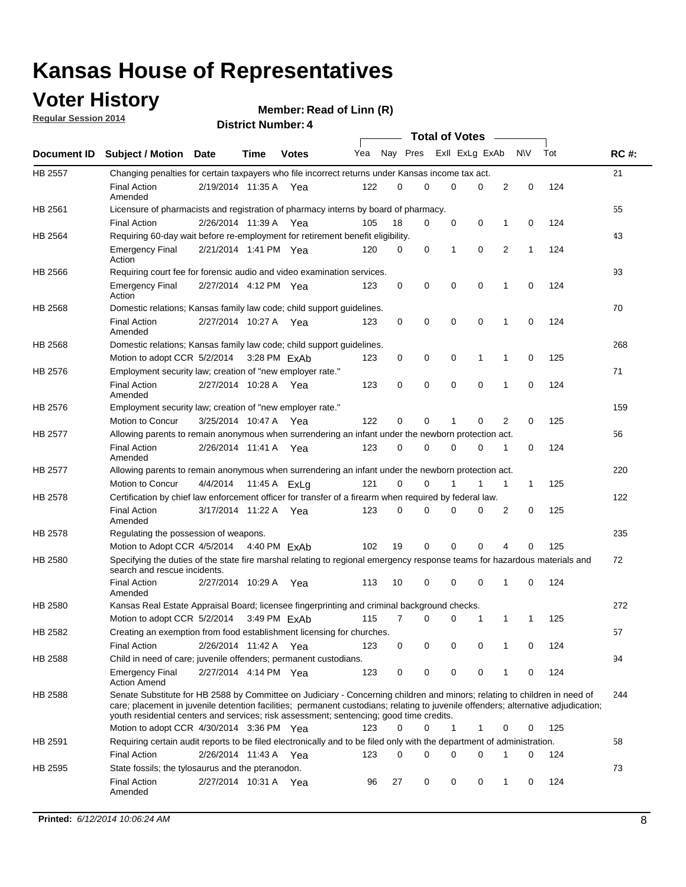# **Voter History**<br> **Regular Session 2014**

**Regular Session 2014**

|                |                                                                                                                                                                                                                                                                                                                                                           |                       |      | <b>Total of Votes</b> |     |          |          |                |             |   |              |     |             |
|----------------|-----------------------------------------------------------------------------------------------------------------------------------------------------------------------------------------------------------------------------------------------------------------------------------------------------------------------------------------------------------|-----------------------|------|-----------------------|-----|----------|----------|----------------|-------------|---|--------------|-----|-------------|
|                | Document ID Subject / Motion Date                                                                                                                                                                                                                                                                                                                         |                       | Time | <b>Votes</b>          | Yea | Nay Pres |          | Exll ExLg ExAb |             |   | <b>NV</b>    | Tot | <b>RC#:</b> |
| <b>HB 2557</b> | Changing penalties for certain taxpayers who file incorrect returns under Kansas income tax act.                                                                                                                                                                                                                                                          |                       |      |                       |     |          |          |                |             |   |              |     | 21          |
|                | <b>Final Action</b><br>Amended                                                                                                                                                                                                                                                                                                                            | 2/19/2014 11:35 A     |      | Yea                   | 122 | 0        | 0        | 0              | 0           | 2 | 0            | 124 |             |
| HB 2561        | Licensure of pharmacists and registration of pharmacy interns by board of pharmacy.                                                                                                                                                                                                                                                                       |                       |      |                       |     |          |          |                |             |   |              |     | 55          |
|                | <b>Final Action</b>                                                                                                                                                                                                                                                                                                                                       | 2/26/2014 11:39 A Yea |      |                       | 105 | 18       | 0        | 0              | 0           | 1 | 0            | 124 |             |
| HB 2564        | Requiring 60-day wait before re-employment for retirement benefit eligibility.                                                                                                                                                                                                                                                                            |                       |      |                       |     |          |          |                |             |   |              |     | 43          |
|                | <b>Emergency Final</b><br>Action                                                                                                                                                                                                                                                                                                                          | 2/21/2014 1:41 PM Yea |      |                       | 120 | 0        | 0        | 1              | 0           | 2 | 1            | 124 |             |
| HB 2566        | Requiring court fee for forensic audio and video examination services.                                                                                                                                                                                                                                                                                    |                       |      |                       |     |          |          |                |             |   |              |     | 93          |
|                | <b>Emergency Final</b><br>Action                                                                                                                                                                                                                                                                                                                          | 2/27/2014 4:12 PM Yea |      |                       | 123 | 0        | 0        | $\mathbf 0$    | $\mathbf 0$ | 1 | 0            | 124 |             |
| <b>HB 2568</b> | Domestic relations; Kansas family law code; child support guidelines.                                                                                                                                                                                                                                                                                     |                       |      |                       |     |          |          |                |             |   |              |     | 70          |
|                | <b>Final Action</b><br>Amended                                                                                                                                                                                                                                                                                                                            | 2/27/2014 10:27 A     |      | Yea                   | 123 | 0        | 0        | 0              | $\mathbf 0$ | 1 | 0            | 124 |             |
| HB 2568        | Domestic relations; Kansas family law code; child support guidelines.                                                                                                                                                                                                                                                                                     |                       |      |                       |     |          |          |                |             |   |              |     | 268         |
|                | Motion to adopt CCR 5/2/2014 3:28 PM ExAb                                                                                                                                                                                                                                                                                                                 |                       |      |                       | 123 | 0        | 0        | 0              | 1           | 1 | 0            | 125 |             |
| HB 2576        | Employment security law; creation of "new employer rate."                                                                                                                                                                                                                                                                                                 |                       |      |                       |     |          |          |                |             |   |              |     | 71          |
|                | <b>Final Action</b><br>Amended                                                                                                                                                                                                                                                                                                                            | 2/27/2014 10:28 A Yea |      |                       | 123 | 0        | 0        | 0              | $\mathbf 0$ | 1 | 0            | 124 |             |
| HB 2576        | Employment security law; creation of "new employer rate."                                                                                                                                                                                                                                                                                                 |                       |      |                       |     |          |          |                |             |   |              |     | 159         |
|                | Motion to Concur                                                                                                                                                                                                                                                                                                                                          | 3/25/2014 10:47 A     |      | Yea                   | 122 | 0        | 0        | 1              | 0           | 2 | 0            | 125 |             |
| <b>HB 2577</b> | Allowing parents to remain anonymous when surrendering an infant under the newborn protection act.                                                                                                                                                                                                                                                        |                       |      |                       |     |          |          |                |             |   |              |     | 56          |
|                | <b>Final Action</b><br>Amended                                                                                                                                                                                                                                                                                                                            | 2/26/2014 11:41 A Yea |      |                       | 123 | 0        | $\Omega$ | $\Omega$       | 0           | 1 | 0            | 124 |             |
| HB 2577        | Allowing parents to remain anonymous when surrendering an infant under the newborn protection act.                                                                                                                                                                                                                                                        |                       |      |                       |     |          |          |                |             |   |              |     | 220         |
|                | Motion to Concur                                                                                                                                                                                                                                                                                                                                          | 4/4/2014              |      | 11:45 A ExLg          | 121 | 0        | 0        |                | 1           | 1 | $\mathbf{1}$ | 125 |             |
| <b>HB 2578</b> | Certification by chief law enforcement officer for transfer of a firearm when required by federal law.                                                                                                                                                                                                                                                    |                       |      |                       |     |          |          |                |             |   |              |     | 122         |
|                | <b>Final Action</b><br>Amended                                                                                                                                                                                                                                                                                                                            | 3/17/2014 11:22 A     |      | Yea                   | 123 | 0        | 0        | 0              | 0           | 2 | 0            | 125 |             |
| HB 2578        | Regulating the possession of weapons.                                                                                                                                                                                                                                                                                                                     |                       |      |                       |     |          |          |                |             |   |              |     | 235         |
|                | Motion to Adopt CCR 4/5/2014 4:40 PM ExAb                                                                                                                                                                                                                                                                                                                 |                       |      |                       | 102 | 19       | 0        | 0              | $\Omega$    | 4 | $\Omega$     | 125 |             |
| HB 2580        | Specifying the duties of the state fire marshal relating to regional emergency response teams for hazardous materials and<br>search and rescue incidents.                                                                                                                                                                                                 |                       |      |                       |     |          |          |                |             |   |              |     | 72          |
|                | <b>Final Action</b><br>Amended                                                                                                                                                                                                                                                                                                                            | 2/27/2014 10:29 A     |      | Yea                   | 113 | 10       | 0        | $\mathbf 0$    | $\mathbf 0$ | 1 | 0            | 124 |             |
| <b>HB 2580</b> | Kansas Real Estate Appraisal Board; licensee fingerprinting and criminal background checks.                                                                                                                                                                                                                                                               |                       |      |                       |     |          |          |                |             |   |              |     | 272         |
|                | Motion to adopt CCR 5/2/2014                                                                                                                                                                                                                                                                                                                              |                       |      | 3:49 PM ExAb          | 115 | 7        | 0        | 0              | 1           | 1 | -1           | 125 |             |
| HB 2582        | Creating an exemption from food establishment licensing for churches.                                                                                                                                                                                                                                                                                     |                       |      |                       |     |          |          |                |             |   |              |     | 57          |
|                | <b>Final Action</b>                                                                                                                                                                                                                                                                                                                                       | 2/26/2014 11:42 A Yea |      |                       | 123 | 0        | 0        | 0              | 0           | 1 | 0            | 124 |             |
| HB 2588        | Child in need of care; juvenile offenders; permanent custodians.                                                                                                                                                                                                                                                                                          |                       |      |                       |     |          |          |                |             |   |              |     | 94          |
|                | <b>Emergency Final</b><br><b>Action Amend</b>                                                                                                                                                                                                                                                                                                             | 2/27/2014 4:14 PM Yea |      |                       | 123 | 0        | 0        | 0              | 0           | 1 | 0            | 124 |             |
| <b>HB 2588</b> | Senate Substitute for HB 2588 by Committee on Judiciary - Concerning children and minors; relating to children in need of<br>care; placement in juvenile detention facilities; permanent custodians; relating to juvenile offenders; alternative adjudication;<br>youth residential centers and services; risk assessment; sentencing; good time credits. |                       |      |                       |     |          |          |                |             |   |              |     | 244         |
|                | Motion to adopt CCR 4/30/2014 3:36 PM Yea                                                                                                                                                                                                                                                                                                                 |                       |      |                       | 123 | 0        | 0        | 1              | 1           | 0 | 0            | 125 |             |
| HB 2591        | Requiring certain audit reports to be filed electronically and to be filed only with the department of administration.                                                                                                                                                                                                                                    |                       |      |                       |     |          |          |                |             |   |              |     | 58          |
|                | <b>Final Action</b>                                                                                                                                                                                                                                                                                                                                       | 2/26/2014 11:43 A Yea |      |                       | 123 | 0        | 0        | 0              | 0           | 1 | 0            | 124 |             |
| HB 2595        | State fossils; the tylosaurus and the pteranodon.                                                                                                                                                                                                                                                                                                         |                       |      |                       |     |          |          |                |             |   |              |     | 73          |
|                | <b>Final Action</b><br>Amended                                                                                                                                                                                                                                                                                                                            | 2/27/2014 10:31 A Yea |      |                       | 96  | 27       | 0        | 0              | 0           | 1 | 0            | 124 |             |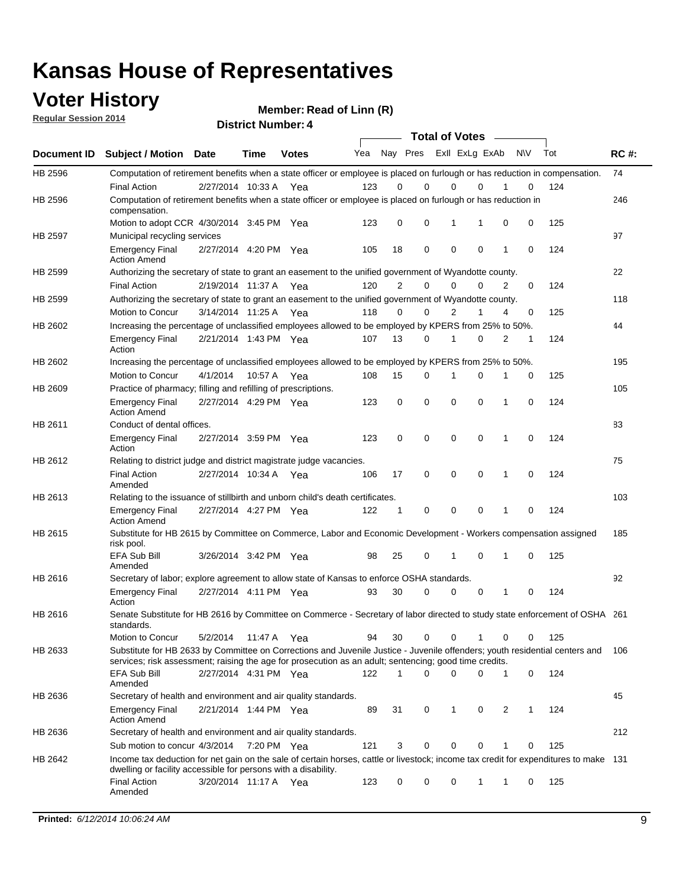# **Voter History**<br> **Regular Session 2014**

**Regular Session 2014**

|         |                                                                                                                                                                                                                                       | <b>Total of Votes</b> |             |              |     |                |                         |             |              |   |           |     |             |
|---------|---------------------------------------------------------------------------------------------------------------------------------------------------------------------------------------------------------------------------------------|-----------------------|-------------|--------------|-----|----------------|-------------------------|-------------|--------------|---|-----------|-----|-------------|
|         | Document ID Subject / Motion Date                                                                                                                                                                                                     |                       | <b>Time</b> | <b>Votes</b> | Yea |                | Nay Pres Exll ExLg ExAb |             |              |   | <b>NV</b> | Tot | <b>RC#:</b> |
| HB 2596 | Computation of retirement benefits when a state officer or employee is placed on furlough or has reduction in compensation.                                                                                                           |                       |             |              |     |                |                         |             |              |   |           |     | 74          |
|         | <b>Final Action</b>                                                                                                                                                                                                                   | 2/27/2014 10:33 A     |             | Yea          | 123 | 0              | $\mathbf 0$             | 0           | $\mathbf{0}$ |   | 0         | 124 |             |
| HB 2596 | Computation of retirement benefits when a state officer or employee is placed on furlough or has reduction in<br>compensation.                                                                                                        |                       |             |              |     |                |                         |             |              |   |           |     | 246         |
|         | Motion to adopt CCR 4/30/2014 3:45 PM Yea                                                                                                                                                                                             |                       |             |              | 123 | 0              | 0                       | 1           | 1            | 0 | 0         | 125 |             |
| HB 2597 | Municipal recycling services                                                                                                                                                                                                          |                       |             |              |     |                |                         |             |              |   |           |     | 97          |
|         | <b>Emergency Final</b><br><b>Action Amend</b>                                                                                                                                                                                         | 2/27/2014 4:20 PM Yea |             |              | 105 | 18             | 0                       | $\mathbf 0$ | 0            | 1 | 0         | 124 |             |
| HB 2599 | Authorizing the secretary of state to grant an easement to the unified government of Wyandotte county.                                                                                                                                |                       |             |              |     |                |                         |             |              |   |           |     | 22          |
|         | <b>Final Action</b>                                                                                                                                                                                                                   | 2/19/2014 11:37 A     |             | Yea          | 120 | $\overline{2}$ | 0                       | 0           | 0            | 2 | 0         | 124 |             |
| HB 2599 | Authorizing the secretary of state to grant an easement to the unified government of Wyandotte county.                                                                                                                                |                       |             |              |     |                |                         |             |              |   |           |     | 118         |
|         | Motion to Concur                                                                                                                                                                                                                      | 3/14/2014 11:25 A Yea |             |              | 118 | 0              | 0                       | 2           | 1            | 4 | 0         | 125 |             |
| HB 2602 | Increasing the percentage of unclassified employees allowed to be employed by KPERS from 25% to 50%.                                                                                                                                  |                       |             |              |     |                |                         |             |              |   |           |     | 44          |
|         | <b>Emergency Final</b><br>Action                                                                                                                                                                                                      | 2/21/2014 1:43 PM Yea |             |              | 107 | 13             | 0                       | 1           | 0            | 2 | 1         | 124 |             |
| HB 2602 | Increasing the percentage of unclassified employees allowed to be employed by KPERS from 25% to 50%.                                                                                                                                  |                       |             |              |     |                |                         |             |              |   |           |     | 195         |
|         | Motion to Concur                                                                                                                                                                                                                      | 4/1/2014              | 10:57 A     | Yea          | 108 | 15             | 0                       | 1           | $\mathbf 0$  | 1 | 0         | 125 |             |
| HB 2609 | Practice of pharmacy; filling and refilling of prescriptions.                                                                                                                                                                         |                       |             |              |     |                |                         |             |              |   |           |     | 105         |
|         | <b>Emergency Final</b><br><b>Action Amend</b>                                                                                                                                                                                         | 2/27/2014 4:29 PM Yea |             |              | 123 | 0              | $\mathbf 0$             | $\mathbf 0$ | $\mathbf 0$  | 1 | 0         | 124 |             |
| HB 2611 | Conduct of dental offices.                                                                                                                                                                                                            |                       |             |              |     |                |                         |             |              |   |           |     | 83          |
|         | <b>Emergency Final</b><br>Action                                                                                                                                                                                                      | 2/27/2014 3:59 PM Yea |             |              | 123 | 0              | $\mathbf 0$             | $\mathbf 0$ | 0            | 1 | 0         | 124 |             |
| HB 2612 | Relating to district judge and district magistrate judge vacancies.                                                                                                                                                                   |                       |             |              |     |                |                         |             |              |   |           |     | 75          |
|         | <b>Final Action</b><br>Amended                                                                                                                                                                                                        | 2/27/2014 10:34 A     |             | Yea          | 106 | 17             | $\mathbf 0$             | $\mathbf 0$ | $\mathbf 0$  | 1 | 0         | 124 |             |
| HB 2613 | Relating to the issuance of stillbirth and unborn child's death certificates.                                                                                                                                                         |                       |             |              |     |                |                         |             |              |   |           |     | 103         |
|         | <b>Emergency Final</b><br><b>Action Amend</b>                                                                                                                                                                                         | 2/27/2014 4:27 PM Yea |             |              | 122 | $\mathbf{1}$   | $\mathbf 0$             | $\mathbf 0$ | $\Omega$     | 1 | 0         | 124 |             |
| HB 2615 | Substitute for HB 2615 by Committee on Commerce, Labor and Economic Development - Workers compensation assigned<br>risk pool.                                                                                                         |                       |             |              |     |                |                         |             |              |   |           |     | 185         |
|         | <b>EFA Sub Bill</b><br>Amended                                                                                                                                                                                                        | 3/26/2014 3:42 PM Yea |             |              | 98  | 25             | 0                       | 1           | $\mathbf 0$  | 1 | 0         | 125 |             |
| HB 2616 | Secretary of labor; explore agreement to allow state of Kansas to enforce OSHA standards.                                                                                                                                             |                       |             |              |     |                |                         |             |              |   |           |     | 92          |
|         | <b>Emergency Final</b><br>Action                                                                                                                                                                                                      | 2/27/2014 4:11 PM Yea |             |              | 93  | 30             | 0                       | 0           | 0            | 1 | 0         | 124 |             |
| HB 2616 | Senate Substitute for HB 2616 by Committee on Commerce - Secretary of labor directed to study state enforcement of OSHA 261<br>standards.                                                                                             |                       |             |              |     |                |                         |             |              |   |           |     |             |
|         | Motion to Concur                                                                                                                                                                                                                      | 5/2/2014 11:47 A Yea  |             |              | 94  | 30             | $\mathbf 0$             | 0           | 1            | 0 | 0         | 125 |             |
| HB 2633 | Substitute for HB 2633 by Committee on Corrections and Juvenile Justice - Juvenile offenders; youth residential centers and<br>services; risk assessment; raising the age for prosecution as an adult; sentencing; good time credits. |                       |             |              |     |                |                         |             |              |   |           |     | 106         |
|         | EFA Sub Bill<br>Amended                                                                                                                                                                                                               | 2/27/2014 4:31 PM Yea |             |              | 122 | 1              | $\Omega$                | 0           | 0            | 1 | 0         | 124 |             |
| HB 2636 | Secretary of health and environment and air quality standards.                                                                                                                                                                        |                       |             |              |     |                |                         |             |              |   |           |     | 45          |
|         | <b>Emergency Final</b><br><b>Action Amend</b>                                                                                                                                                                                         | 2/21/2014 1:44 PM Yea |             |              | 89  | 31             | 0                       | 1           | 0            | 2 | 1         | 124 |             |
| HB 2636 | Secretary of health and environment and air quality standards.                                                                                                                                                                        |                       |             |              |     |                |                         |             |              |   |           |     | 212         |
|         | Sub motion to concur 4/3/2014                                                                                                                                                                                                         |                       | 7:20 PM Yea |              | 121 | 3              | 0                       | 0           | 0            |   | 0         | 125 |             |
| HB 2642 | Income tax deduction for net gain on the sale of certain horses, cattle or livestock; income tax credit for expenditures to make 131                                                                                                  |                       |             |              |     |                |                         |             |              |   |           |     |             |
|         | dwelling or facility accessible for persons with a disability.<br><b>Final Action</b>                                                                                                                                                 | 3/20/2014 11:17 A Yea |             |              | 123 | 0              | 0                       | 0           | 1            | 1 | 0         | 125 |             |
|         | Amended                                                                                                                                                                                                                               |                       |             |              |     |                |                         |             |              |   |           |     |             |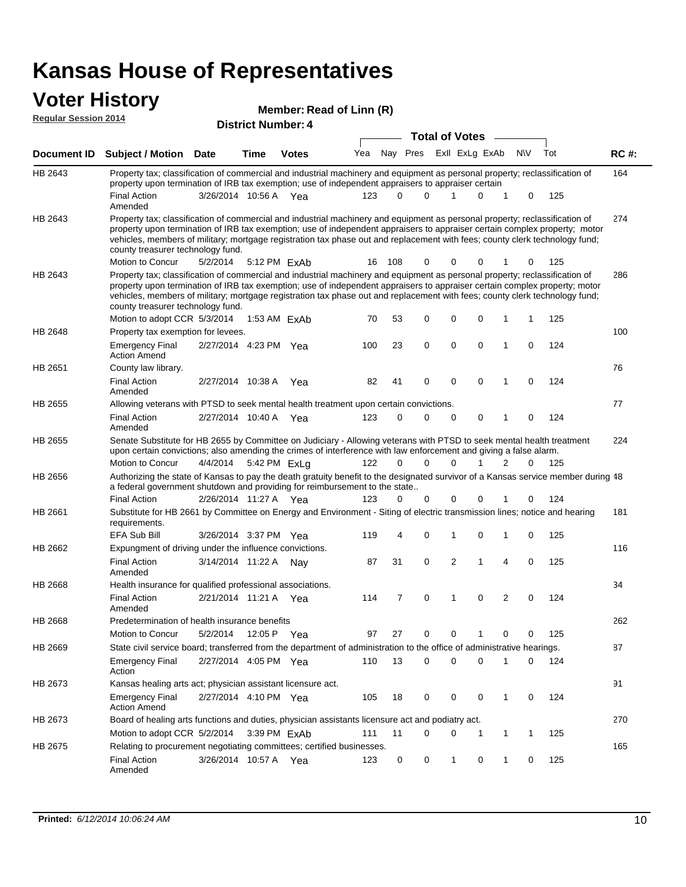# **Voter History**<br> **Regular Session 2014**

| <b>YULUI THOLUI Y</b><br><b>Regular Session 2014</b> |                                                                                                                                                                                                                                                                                                                                                                                                                               |                       |                           |              | Member: Read of Linn (R) |             |                       |             |                |             |                |             |     |             |
|------------------------------------------------------|-------------------------------------------------------------------------------------------------------------------------------------------------------------------------------------------------------------------------------------------------------------------------------------------------------------------------------------------------------------------------------------------------------------------------------|-----------------------|---------------------------|--------------|--------------------------|-------------|-----------------------|-------------|----------------|-------------|----------------|-------------|-----|-------------|
|                                                      |                                                                                                                                                                                                                                                                                                                                                                                                                               |                       | <b>District Number: 4</b> |              |                          |             | <b>Total of Votes</b> |             |                |             |                |             |     |             |
| Document ID                                          | <b>Subject / Motion Date</b>                                                                                                                                                                                                                                                                                                                                                                                                  |                       | <b>Time</b>               | <b>Votes</b> | Yea                      | Nay Pres    |                       |             | Exll ExLg ExAb |             |                | <b>NV</b>   | Tot | <b>RC#:</b> |
| HB 2643                                              | Property tax; classification of commercial and industrial machinery and equipment as personal property; reclassification of<br>property upon termination of IRB tax exemption; use of independent appraisers to appraiser certain                                                                                                                                                                                             |                       |                           |              |                          |             |                       |             |                |             |                |             |     | 164         |
|                                                      | <b>Final Action</b><br>Amended                                                                                                                                                                                                                                                                                                                                                                                                | 3/26/2014 10:56 A Yea |                           |              | 123                      | $\Omega$    | $\Omega$              | 1           |                | 0           | 1              | 0           | 125 |             |
| HB 2643                                              | Property tax; classification of commercial and industrial machinery and equipment as personal property; reclassification of<br>property upon termination of IRB tax exemption; use of independent appraisers to appraiser certain complex property; motor<br>vehicles, members of military; mortgage registration tax phase out and replacement with fees; county clerk technology fund;<br>county treasurer technology fund. |                       |                           |              |                          |             |                       |             |                |             |                |             |     | 274         |
|                                                      | Motion to Concur                                                                                                                                                                                                                                                                                                                                                                                                              | 5/2/2014              |                           | 5:12 PM FxAb | 16                       | 108         | 0                     | 0           |                | 0           |                | 0           | 125 |             |
| HB 2643                                              | Property tax; classification of commercial and industrial machinery and equipment as personal property; reclassification of<br>property upon termination of IRB tax exemption; use of independent appraisers to appraiser certain complex property; motor<br>vehicles, members of military; mortgage registration tax phase out and replacement with fees; county clerk technology fund;<br>county treasurer technology fund. |                       |                           |              |                          |             |                       |             |                |             |                |             |     | 286         |
|                                                      | Motion to adopt CCR 5/3/2014                                                                                                                                                                                                                                                                                                                                                                                                  |                       | 1:53 AM ExAb              |              | 70                       | 53          | 0                     |             | 0              | $\mathbf 0$ | 1              | 1           | 125 |             |
| HB 2648                                              | Property tax exemption for levees.                                                                                                                                                                                                                                                                                                                                                                                            |                       |                           |              |                          |             |                       |             |                |             |                |             |     | 100         |
|                                                      | <b>Emergency Final</b><br><b>Action Amend</b>                                                                                                                                                                                                                                                                                                                                                                                 | 2/27/2014 4:23 PM Yea |                           |              | 100                      | 23          | $\mathbf 0$           | $\mathbf 0$ |                | $\mathbf 0$ | $\mathbf{1}$   | $\Omega$    | 124 |             |
| HB 2651                                              | County law library.                                                                                                                                                                                                                                                                                                                                                                                                           |                       |                           |              |                          |             |                       |             |                |             |                |             |     | 76          |
|                                                      | <b>Final Action</b><br>Amended                                                                                                                                                                                                                                                                                                                                                                                                | 2/27/2014 10:38 A     |                           | Yea          | 82                       | 41          | 0                     | $\mathbf 0$ |                | $\mathbf 0$ | 1              | $\mathbf 0$ | 124 |             |
| HB 2655                                              | Allowing veterans with PTSD to seek mental health treatment upon certain convictions.                                                                                                                                                                                                                                                                                                                                         |                       |                           |              |                          |             |                       |             |                |             |                |             |     | 77          |
|                                                      | <b>Final Action</b><br>Amended                                                                                                                                                                                                                                                                                                                                                                                                | 2/27/2014 10:40 A     |                           | Yea          | 123                      | $\mathbf 0$ | 0                     | 0           |                | 0           | 1              | $\mathbf 0$ | 124 |             |
| HB 2655                                              | Senate Substitute for HB 2655 by Committee on Judiciary - Allowing veterans with PTSD to seek mental health treatment<br>upon certain convictions; also amending the crimes of interference with law enforcement and giving a false alarm.                                                                                                                                                                                    |                       |                           |              |                          |             |                       |             |                |             |                |             |     | 224         |
|                                                      | Motion to Concur                                                                                                                                                                                                                                                                                                                                                                                                              | 4/4/2014              |                           | 5:42 PM ExLa | 122                      | $\Omega$    | $\Omega$              |             | $\Omega$       | 1           | $\overline{2}$ | $\Omega$    | 125 |             |
| HB 2656                                              | Authorizing the state of Kansas to pay the death gratuity benefit to the designated survivor of a Kansas service member during 48<br>a federal government shutdown and providing for reimbursement to the state                                                                                                                                                                                                               |                       |                           |              |                          |             |                       |             |                |             |                |             |     |             |
|                                                      | <b>Final Action</b>                                                                                                                                                                                                                                                                                                                                                                                                           | 2/26/2014 11:27 A Yea |                           |              | 123                      | $\Omega$    | $\Omega$              |             | 0              | $\mathbf 0$ | 1              | 0           | 124 |             |
| HB 2661                                              | Substitute for HB 2661 by Committee on Energy and Environment - Siting of electric transmission lines; notice and hearing<br>requirements.                                                                                                                                                                                                                                                                                    |                       |                           |              |                          |             |                       |             |                |             |                |             |     | 181         |
|                                                      | <b>EFA Sub Bill</b>                                                                                                                                                                                                                                                                                                                                                                                                           | 3/26/2014 3:37 PM Yea |                           |              | 119                      | 4           | 0                     | 1           |                | 0           | 1              | 0           | 125 |             |
| HB 2662                                              | Expungment of driving under the influence convictions.                                                                                                                                                                                                                                                                                                                                                                        |                       |                           |              |                          |             |                       |             |                |             |                |             |     | 116         |

|                | Amended                                                                                                                |                   |              |     |     |    |          |          |          |          |          |     |     |
|----------------|------------------------------------------------------------------------------------------------------------------------|-------------------|--------------|-----|-----|----|----------|----------|----------|----------|----------|-----|-----|
| <b>HB 2668</b> | Health insurance for qualified professional associations.                                                              |                   |              |     |     |    |          |          |          |          |          |     | 34  |
|                | <b>Final Action</b><br>Amended                                                                                         | 2/21/2014 11:21 A |              | Yea | 114 |    | $\Omega$ |          | $\Omega$ | 2        | $\Omega$ | 124 |     |
| HB 2668        | Predetermination of health insurance benefits                                                                          |                   |              |     |     |    |          |          |          |          |          |     | 262 |
|                | Motion to Concur                                                                                                       | 5/2/2014          | 12:05 P      | Yea | 97  | 27 | $\Omega$ | $\Omega$ |          | $\Omega$ |          | 125 |     |
| HB 2669        | State civil service board; transferred from the department of administration to the office of administrative hearings. |                   |              |     |     |    |          |          |          |          |          |     | 87  |
|                | <b>Emergency Final</b><br>Action                                                                                       | 2/27/2014 4:05 PM |              | Yea | 110 | 13 | 0        | 0        | $\Omega$ |          | $\Omega$ | 124 |     |
| HB 2673        | Kansas healing arts act; physician assistant licensure act.                                                            |                   |              |     |     |    |          |          |          |          |          |     | 91  |
|                | Emergency Final<br><b>Action Amend</b>                                                                                 | 2/27/2014 4:10 PM |              | Yea | 105 | 18 | 0        | $\Omega$ | $\Omega$ |          | $\Omega$ | 124 |     |
| HB 2673        | Board of healing arts functions and duties, physician assistants licensure act and podiatry act.                       |                   |              |     |     |    |          |          |          |          |          |     | 270 |
|                | Motion to adopt CCR 5/2/2014                                                                                           |                   | 3:39 PM ExAb |     | 111 | 11 | 0        | 0        |          |          |          | 125 |     |
| HB 2675        | Relating to procurement negotiating committees; certified businesses.                                                  |                   |              |     |     |    |          |          |          |          |          |     | 165 |
|                | <b>Final Action</b><br>Amended                                                                                         | 3/26/2014         | 10:57 A      | Yea | 123 | 0  | 0        |          | $\Omega$ |          | $\Omega$ | 125 |     |

Final Action 3/14/2014 11:22 A Nay 87 31 0 2 1 4 0 125

87 31 0 2 1 4 0 125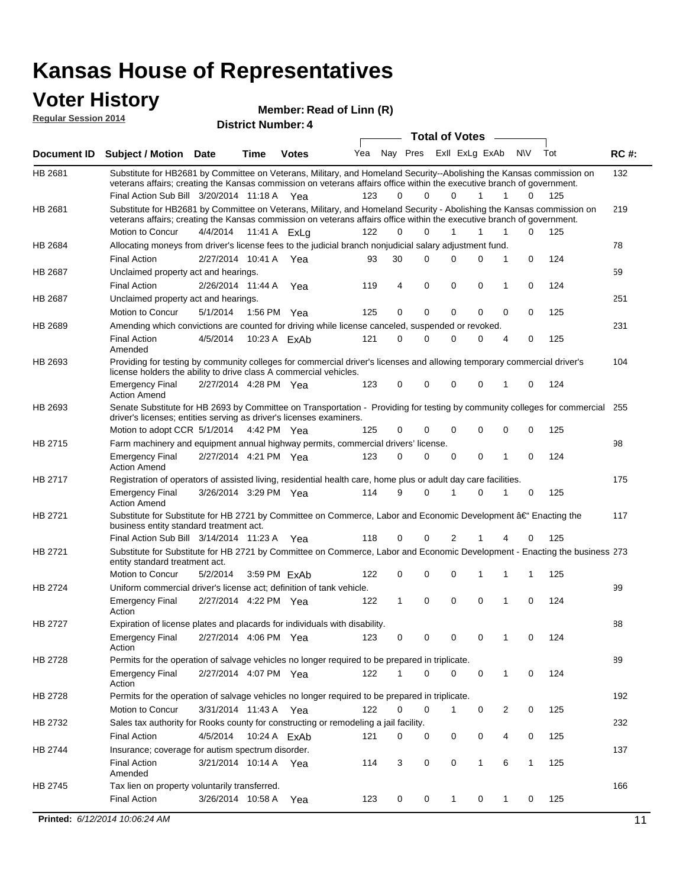### **Voter History Regular Session 2014**

|                    | noguidi ocoololi 4014                                                                                                                                                                                                                                                                         |                       |      | <b>District Number: 4</b> |     |             |             |                       |                |        |     |             |
|--------------------|-----------------------------------------------------------------------------------------------------------------------------------------------------------------------------------------------------------------------------------------------------------------------------------------------|-----------------------|------|---------------------------|-----|-------------|-------------|-----------------------|----------------|--------|-----|-------------|
|                    |                                                                                                                                                                                                                                                                                               |                       |      |                           |     |             |             | <b>Total of Votes</b> |                |        |     |             |
| <b>Document ID</b> | <b>Subject / Motion Date</b>                                                                                                                                                                                                                                                                  |                       | Time | <b>Votes</b>              | Yea |             | Nay Pres    |                       | Exll ExLg ExAb | N\V    | Tot | <b>RC#:</b> |
| HB 2681            | Substitute for HB2681 by Committee on Veterans, Military, and Homeland Security--Abolishing the Kansas commission on<br>veterans affairs; creating the Kansas commission on veterans affairs office within the executive branch of government.<br>Final Action Sub Bill 3/20/2014 11:18 A Yea |                       |      |                           | 123 | 0           | 0           | $\Omega$              | 1              | 1<br>0 | 125 | 132         |
|                    |                                                                                                                                                                                                                                                                                               |                       |      |                           |     |             |             |                       |                |        |     |             |
| HB 2681            | Substitute for HB2681 by Committee on Veterans, Military, and Homeland Security - Abolishing the Kansas commission on<br>veterans affairs; creating the Kansas commission on veterans affairs office within the executive branch of government.                                               |                       |      |                           |     |             |             |                       |                |        |     | 219         |
|                    | Motion to Concur                                                                                                                                                                                                                                                                              | 4/4/2014              |      | 11:41 A ExLg              | 122 | $\Omega$    | $\Omega$    | $\mathbf{1}$          | 1              | 1<br>0 | 125 |             |
| HB 2684            | Allocating moneys from driver's license fees to the judicial branch nonjudicial salary adjustment fund.                                                                                                                                                                                       |                       |      |                           |     |             |             |                       |                |        |     | 78          |
|                    | <b>Final Action</b>                                                                                                                                                                                                                                                                           | 2/27/2014 10:41 A     |      | Yea                       | 93  | 30          | $\Omega$    | $\Omega$              | 0              | 1<br>0 | 124 |             |
| HB 2687            | Unclaimed property act and hearings.                                                                                                                                                                                                                                                          |                       |      |                           |     |             |             |                       |                |        |     | 59          |
|                    | <b>Final Action</b>                                                                                                                                                                                                                                                                           | 2/26/2014 11:44 A     |      | Yea                       | 119 | 4           | $\mathbf 0$ | 0                     | $\mathbf 0$    | 0<br>1 | 124 |             |
| HB 2687            | Unclaimed property act and hearings.                                                                                                                                                                                                                                                          |                       |      |                           |     |             |             |                       |                |        |     | 251         |
|                    | Motion to Concur                                                                                                                                                                                                                                                                              | 5/1/2014              |      | 1:56 PM Yea               | 125 | 0           | $\mathbf 0$ | 0                     | 0              | 0<br>0 | 125 |             |
| HB 2689            | Amending which convictions are counted for driving while license canceled, suspended or revoked.                                                                                                                                                                                              |                       |      |                           |     |             |             |                       |                |        |     | 231         |
|                    | <b>Final Action</b><br>Amended                                                                                                                                                                                                                                                                | 4/5/2014              |      | 10:23 A ExAb              | 121 | $\mathbf 0$ | 0           | $\Omega$              | 0              | 0<br>4 | 125 |             |
| HB 2693            | Providing for testing by community colleges for commercial driver's licenses and allowing temporary commercial driver's<br>license holders the ability to drive class A commercial vehicles.                                                                                                  |                       |      |                           |     |             |             |                       |                |        |     | 104         |
|                    | <b>Emergency Final</b><br><b>Action Amend</b>                                                                                                                                                                                                                                                 | 2/27/2014 4:28 PM Yea |      |                           | 123 | 0           | $\mathbf 0$ | $\Omega$              | $\mathbf 0$    | 0<br>1 | 124 |             |
| HB 2693            | Senate Substitute for HB 2693 by Committee on Transportation - Providing for testing by community colleges for commercial<br>driver's licenses; entities serving as driver's licenses examiners.                                                                                              |                       |      |                           |     |             |             |                       |                |        |     | 255         |
|                    | Motion to adopt CCR 5/1/2014 4:42 PM Yea                                                                                                                                                                                                                                                      |                       |      |                           | 125 | 0           | $\Omega$    | $\Omega$              | $\Omega$       | 0<br>0 | 125 |             |
| HB 2715            | Farm machinery and equipment annual highway permits, commercial drivers' license.                                                                                                                                                                                                             |                       |      |                           |     |             |             |                       |                |        |     | 98          |
|                    | <b>Emergency Final</b><br><b>Action Amend</b>                                                                                                                                                                                                                                                 | 2/27/2014 4:21 PM Yea |      |                           | 123 | 0           | 0           | 0                     | 0              | 1<br>0 | 124 |             |
| HB 2717            | Registration of operators of assisted living, residential health care, home plus or adult day care facilities.                                                                                                                                                                                |                       |      |                           |     |             |             |                       |                |        |     | 175         |
|                    | <b>Emergency Final</b><br><b>Action Amend</b>                                                                                                                                                                                                                                                 | 3/26/2014 3:29 PM Yea |      |                           | 114 | 9           | 0           |                       | 0              | 1<br>0 | 125 |             |
| HB 2721            | Substitute for Substitute for HB 2721 by Committee on Commerce, Labor and Economic Development †Enacting the<br>business entity standard treatment act.                                                                                                                                       |                       |      |                           |     |             |             |                       |                |        |     | 117         |
|                    | Final Action Sub Bill 3/14/2014 11:23 A Yea                                                                                                                                                                                                                                                   |                       |      |                           | 118 | 0           | 0           | 2                     |                | 0<br>4 | 125 |             |
| HB 2721            | Substitute for Substitute for HB 2721 by Committee on Commerce, Labor and Economic Development - Enacting the business 273<br>entity standard treatment act.                                                                                                                                  |                       |      |                           |     |             |             |                       |                |        |     |             |
|                    | Motion to Concur                                                                                                                                                                                                                                                                              | 5/2/2014              |      | 3:59 PM ExAb              | 122 | 0           | 0           | 0                     | 1              | 1<br>1 | 125 |             |
| <b>HB 2724</b>     | Uniform commercial driver's license act; definition of tank vehicle.<br><b>Emergency Final</b><br>Action                                                                                                                                                                                      | 2/27/2014 4:22 PM Yea |      |                           | 122 | 1           | $\mathbf 0$ | 0                     | 0              | 0<br>1 | 124 | 99          |
| HB 2727            | Expiration of license plates and placards for individuals with disability.                                                                                                                                                                                                                    |                       |      |                           |     |             |             |                       |                |        |     | 88          |
|                    | <b>Emergency Final</b><br>Action                                                                                                                                                                                                                                                              | 2/27/2014 4:06 PM Yea |      |                           | 123 | 0           | 0           | 0                     | 0              | 0      | 124 |             |
| HB 2728            | Permits for the operation of salvage vehicles no longer required to be prepared in triplicate.                                                                                                                                                                                                |                       |      |                           |     |             |             |                       |                |        |     | 89          |
|                    | <b>Emergency Final</b><br>Action                                                                                                                                                                                                                                                              | 2/27/2014 4:07 PM Yea |      |                           | 122 | 1           | 0           | $\Omega$              | 0              | 1<br>0 | 124 |             |
| HB 2728            | Permits for the operation of salvage vehicles no longer required to be prepared in triplicate.                                                                                                                                                                                                |                       |      |                           |     |             |             |                       |                |        |     | 192         |
|                    | Motion to Concur                                                                                                                                                                                                                                                                              | 3/31/2014 11:43 A Yea |      |                           | 122 | 0           | 0           | $\mathbf{1}$          | 0              | 2<br>0 | 125 |             |
| HB 2732            | Sales tax authority for Rooks county for constructing or remodeling a jail facility.                                                                                                                                                                                                          |                       |      |                           |     |             |             |                       |                |        |     | 232         |
|                    | <b>Final Action</b>                                                                                                                                                                                                                                                                           | 4/5/2014              |      | 10:24 A ExAb              | 121 | 0           | 0           | 0                     | 0              | 4<br>0 | 125 |             |
| HB 2744            | Insurance; coverage for autism spectrum disorder.                                                                                                                                                                                                                                             |                       |      |                           |     |             |             |                       |                |        |     | 137         |
|                    | <b>Final Action</b><br>Amended                                                                                                                                                                                                                                                                |                       |      | 3/21/2014 10:14 A Yea     | 114 | 3           | 0           | 0                     | $\mathbf{1}$   | 6<br>1 | 125 |             |
| HB 2745            | Tax lien on property voluntarily transferred.                                                                                                                                                                                                                                                 |                       |      |                           |     |             |             |                       |                |        |     | 166         |
|                    | <b>Final Action</b>                                                                                                                                                                                                                                                                           | 3/26/2014 10:58 A     |      | Yea                       | 123 | 0           | 0           | $\mathbf{1}$          | 0              | 1<br>0 | 125 |             |
|                    |                                                                                                                                                                                                                                                                                               |                       |      |                           |     |             |             |                       |                |        |     |             |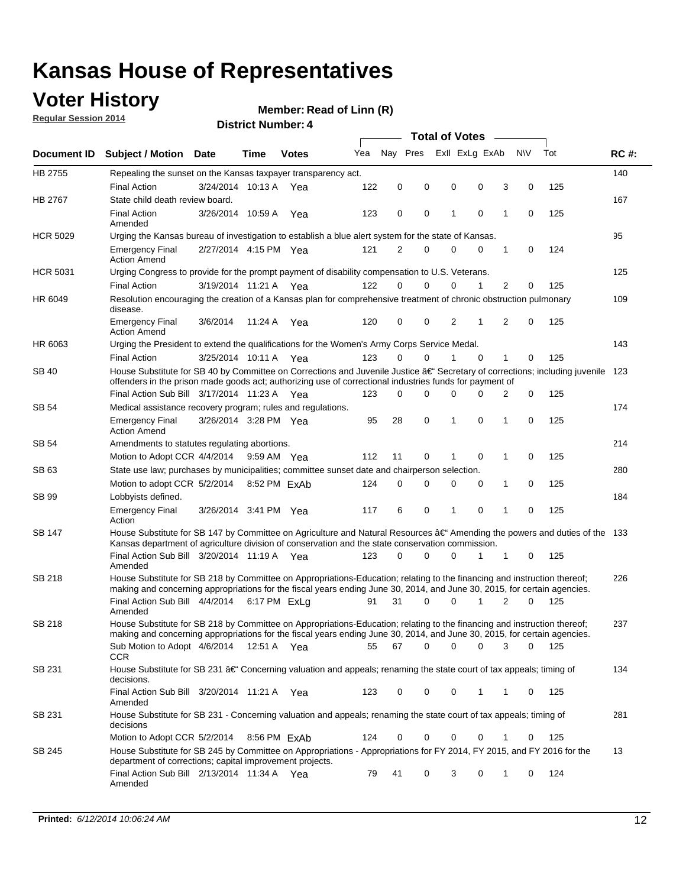### **Voter History**

**Regular Session 2014**

#### **Member: Read of Linn (R)**

**District Number: 4**

|                 |                                                                                                                                                                                                                                      |                       |             |              | <b>Total of Votes</b> |          |             |                |             |                |             |     |             |  |
|-----------------|--------------------------------------------------------------------------------------------------------------------------------------------------------------------------------------------------------------------------------------|-----------------------|-------------|--------------|-----------------------|----------|-------------|----------------|-------------|----------------|-------------|-----|-------------|--|
|                 | Document ID Subject / Motion Date                                                                                                                                                                                                    |                       | Time        | <b>Votes</b> | Yea                   | Nav Pres |             | Exll ExLg ExAb |             |                | <b>NV</b>   | Tot | <b>RC#:</b> |  |
| HB 2755         | Repealing the sunset on the Kansas taxpayer transparency act.                                                                                                                                                                        |                       |             |              |                       |          |             |                |             |                |             |     | 140         |  |
|                 | <b>Final Action</b>                                                                                                                                                                                                                  | 3/24/2014 10:13 A     |             | Yea          | 122                   | 0        | 0           | $\mathbf 0$    | 0           | 3              | 0           | 125 |             |  |
| HB 2767         | State child death review board.                                                                                                                                                                                                      |                       |             |              |                       |          |             |                |             |                |             |     | 167         |  |
|                 | <b>Final Action</b><br>Amended                                                                                                                                                                                                       | 3/26/2014 10:59 A     |             | Yea          | 123                   | 0        | 0           | 1              | $\mathbf 0$ | 1              | $\mathbf 0$ | 125 |             |  |
| <b>HCR 5029</b> | Urging the Kansas bureau of investigation to establish a blue alert system for the state of Kansas.                                                                                                                                  |                       |             |              |                       |          |             |                |             |                |             |     | 95          |  |
|                 | <b>Emergency Final</b><br><b>Action Amend</b>                                                                                                                                                                                        | 2/27/2014 4:15 PM Yea |             |              | 121                   | 2        | 0           | 0              | 0           | 1              | $\mathbf 0$ | 124 |             |  |
| <b>HCR 5031</b> | Urging Congress to provide for the prompt payment of disability compensation to U.S. Veterans.                                                                                                                                       |                       |             |              |                       |          |             |                |             |                |             |     | 125         |  |
|                 | <b>Final Action</b>                                                                                                                                                                                                                  | 3/19/2014 11:21 A Yea |             |              | 122                   | $\Omega$ | $\Omega$    | $\mathbf 0$    | 1           | $\overline{2}$ | $\Omega$    | 125 |             |  |
| HR 6049         | Resolution encouraging the creation of a Kansas plan for comprehensive treatment of chronic obstruction pulmonary<br>disease.                                                                                                        |                       |             |              |                       |          |             |                |             |                |             |     | 109         |  |
|                 | <b>Emergency Final</b><br><b>Action Amend</b>                                                                                                                                                                                        | 3/6/2014              | 11:24 A     | Yea          | 120                   | 0        | 0           | 2              | 1           | 2              | $\mathbf 0$ | 125 |             |  |
| HR 6063         | Urging the President to extend the qualifications for the Women's Army Corps Service Medal.                                                                                                                                          |                       |             |              |                       |          |             |                |             |                |             |     | 143         |  |
|                 | <b>Final Action</b>                                                                                                                                                                                                                  | 3/25/2014 10:11 A Yea |             |              | 123                   | $\Omega$ | 0           | 1              | $\mathbf 0$ | 1              | $\mathbf 0$ | 125 |             |  |
| SB 40           | House Substitute for SB 40 by Committee on Corrections and Juvenile Justice †Secretary of corrections; including juvenile<br>offenders in the prison made goods act; authorizing use of correctional industries funds for payment of |                       |             |              |                       |          |             |                |             |                |             |     | 123         |  |
|                 | Final Action Sub Bill 3/17/2014 11:23 A Yea                                                                                                                                                                                          |                       |             |              | 123                   | $\Omega$ | 0           | 0              | $\Omega$    | 2              | $\mathbf 0$ | 125 |             |  |
| SB 54           | Medical assistance recovery program; rules and regulations.                                                                                                                                                                          |                       |             |              |                       |          |             |                |             |                |             |     | 174         |  |
|                 | <b>Emergency Final</b><br><b>Action Amend</b>                                                                                                                                                                                        | 3/26/2014 3:28 PM Yea |             |              | 95                    | 28       | $\mathbf 0$ | 1              | $\mathbf 0$ | 1              | $\mathbf 0$ | 125 |             |  |
| <b>SB 54</b>    | Amendments to statutes regulating abortions.                                                                                                                                                                                         |                       |             |              |                       |          |             |                |             |                |             |     | 214         |  |
|                 | Motion to Adopt CCR 4/4/2014                                                                                                                                                                                                         |                       | 9:59 AM Yea |              | 112                   | 11       | 0           |                | $\mathbf 0$ | 1              | 0           | 125 |             |  |
| SB 63           | State use law; purchases by municipalities; committee sunset date and chairperson selection.                                                                                                                                         |                       |             |              |                       |          |             |                |             |                |             |     |             |  |
|                 | Motion to adopt CCR 5/2/2014                                                                                                                                                                                                         |                       |             | 8:52 PM ExAb | 124                   | 0        | 0           | 0              | 0           | 1              | 0           | 125 |             |  |
| SB 99           | Lobbyists defined.                                                                                                                                                                                                                   |                       |             |              |                       |          |             |                |             |                |             |     | 184         |  |
|                 | <b>Emergency Final</b><br>Action                                                                                                                                                                                                     | 3/26/2014 3:41 PM Yea |             |              | 117                   | 6        | 0           | 1              | $\mathbf 0$ | 1              | 0           | 125 |             |  |
| SB 147          | House Substitute for SB 147 by Committee on Agriculture and Natural Resources †Amending the powers and duties of the 133<br>Kansas department of agriculture division of conservation and the state conservation commission.         |                       |             |              |                       |          |             |                |             |                |             |     |             |  |
|                 | Final Action Sub Bill 3/20/2014 11:19 A Yea<br>Amended                                                                                                                                                                               |                       |             |              | 123                   | $\Omega$ | $\Omega$    | 0              | 1           | 1              | 0           | 125 |             |  |
| SB 218          | House Substitute for SB 218 by Committee on Appropriations-Education; relating to the financing and instruction thereof;                                                                                                             |                       |             |              |                       |          |             |                |             |                |             |     | 226         |  |
|                 | making and concerning appropriations for the fiscal years ending June 30, 2014, and June 30, 2015, for certain agencies.<br>Final Action Sub Bill 4/4/2014 6:17 PM ExLq                                                              |                       |             |              | 91                    | 31       | $\Omega$    | 0              | 1           | 2              | $\Omega$    | 125 |             |  |
|                 | Amended                                                                                                                                                                                                                              |                       |             |              |                       |          |             |                |             |                |             |     |             |  |
| SB 218          | House Substitute for SB 218 by Committee on Appropriations-Education; relating to the financing and instruction thereof;                                                                                                             |                       |             |              |                       |          |             |                |             |                |             |     | 237         |  |
|                 | making and concerning appropriations for the fiscal years ending June 30, 2014, and June 30, 2015, for certain agencies.                                                                                                             |                       |             |              |                       |          |             |                |             |                |             |     |             |  |
|                 | Sub Motion to Adopt 4/6/2014 12:51 A Yea<br>CCR                                                                                                                                                                                      |                       |             |              | 55                    | 67       | 0           | 0              | 0           | 3              | 0           | 125 |             |  |
| SB 231          | House Substitute for SB 231 †Concerning valuation and appeals; renaming the state court of tax appeals; timing of<br>decisions.                                                                                                      |                       |             |              |                       |          |             |                |             |                |             |     | 134         |  |
|                 | Final Action Sub Bill 3/20/2014 11:21 A Yea<br>Amended                                                                                                                                                                               |                       |             |              | 123                   | 0        | 0           | 0              | 1           | 1              | 0           | 125 |             |  |
| SB 231          | House Substitute for SB 231 - Concerning valuation and appeals; renaming the state court of tax appeals; timing of<br>decisions                                                                                                      |                       |             |              |                       |          |             |                |             |                |             |     | 281         |  |
|                 | Motion to Adopt CCR 5/2/2014                                                                                                                                                                                                         |                       |             | 8:56 PM ExAb | 124                   | 0        | 0           | 0              | $\mathbf 0$ | 1              | 0           | 125 |             |  |
| SB 245          | House Substitute for SB 245 by Committee on Appropriations - Appropriations for FY 2014, FY 2015, and FY 2016 for the<br>department of corrections; capital improvement projects.                                                    |                       |             |              |                       |          |             |                |             |                |             |     | 13          |  |
|                 | Final Action Sub Bill 2/13/2014 11:34 A Yea<br>Amended                                                                                                                                                                               |                       |             |              | 79                    | 41       | 0           | 3              | 0           | 1              | 0           | 124 |             |  |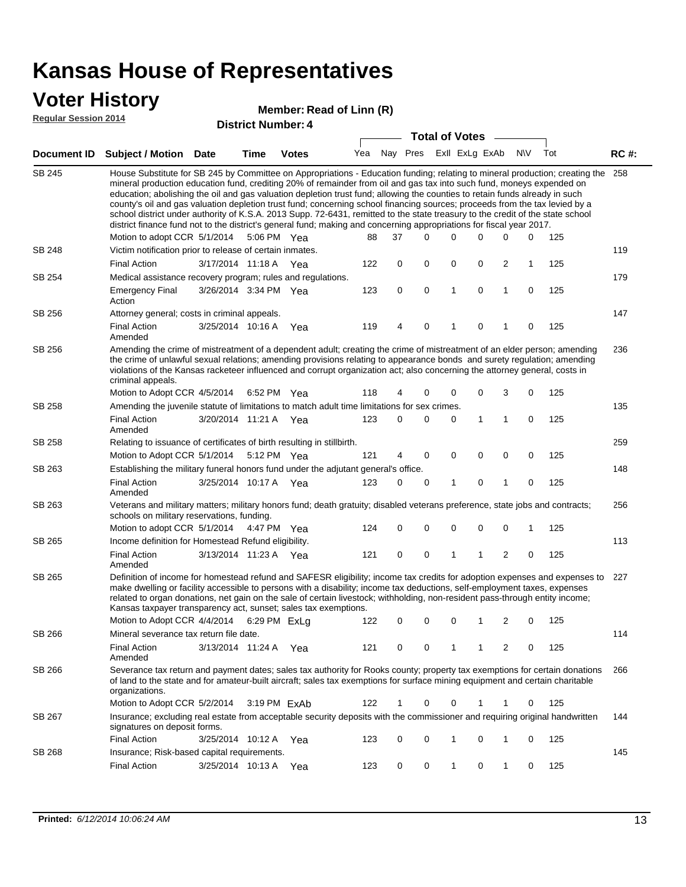### **Voter History**

#### **Member: Read of Linn (R)**

**Regular Session 2014**

| <b>District Number: 4</b> |  |  |
|---------------------------|--|--|
|                           |  |  |

|               |                                                                                                                                                                                                                                                                                                                                                                                                                                                                                                                                                                                                                                                                                                                                                                                                                                                                                                                                                    |                       | ד וסעוווטנו וישוווט <del>כ</del> ו |              |     |   | <b>Total of Votes</b>       |              |   |             |     |     |             |  |
|---------------|----------------------------------------------------------------------------------------------------------------------------------------------------------------------------------------------------------------------------------------------------------------------------------------------------------------------------------------------------------------------------------------------------------------------------------------------------------------------------------------------------------------------------------------------------------------------------------------------------------------------------------------------------------------------------------------------------------------------------------------------------------------------------------------------------------------------------------------------------------------------------------------------------------------------------------------------------|-----------------------|------------------------------------|--------------|-----|---|-----------------------------|--------------|---|-------------|-----|-----|-------------|--|
| Document ID   | <b>Subject / Motion Date</b>                                                                                                                                                                                                                                                                                                                                                                                                                                                                                                                                                                                                                                                                                                                                                                                                                                                                                                                       |                       | <b>Time</b>                        | <b>Votes</b> |     |   | Yea Nay Pres ExII ExLg ExAb |              |   |             | N\V | Tot | <b>RC#:</b> |  |
| <b>SB 245</b> | House Substitute for SB 245 by Committee on Appropriations - Education funding; relating to mineral production; creating the<br>mineral production education fund, crediting 20% of remainder from oil and gas tax into such fund, moneys expended on<br>education; abolishing the oil and gas valuation depletion trust fund; allowing the counties to retain funds already in such<br>county's oil and gas valuation depletion trust fund; concerning school financing sources; proceeds from the tax levied by a<br>school district under authority of K.S.A. 2013 Supp. 72-6431, remitted to the state treasury to the credit of the state school<br>district finance fund not to the district's general fund; making and concerning appropriations for fiscal year 2017.<br>$\Omega$<br>0<br>Motion to adopt CCR 5/1/2014<br>5:06 PM Yea<br>88<br>37<br>$\Omega$<br>0<br>0<br>125<br>Victim notification prior to release of certain inmates. |                       |                                    |              |     |   |                             |              |   |             |     |     |             |  |
| SB 248        |                                                                                                                                                                                                                                                                                                                                                                                                                                                                                                                                                                                                                                                                                                                                                                                                                                                                                                                                                    |                       |                                    |              |     |   |                             |              |   |             |     |     | 119         |  |
|               | <b>Final Action</b>                                                                                                                                                                                                                                                                                                                                                                                                                                                                                                                                                                                                                                                                                                                                                                                                                                                                                                                                | 3/17/2014 11:18 A     |                                    | Yea          | 122 | 0 | 0                           | 0            | 0 | 2           | 1   | 125 |             |  |
| SB 254        | Medical assistance recovery program; rules and regulations.                                                                                                                                                                                                                                                                                                                                                                                                                                                                                                                                                                                                                                                                                                                                                                                                                                                                                        |                       |                                    |              |     |   |                             |              |   |             |     |     | 179         |  |
|               | <b>Emergency Final</b><br>Action                                                                                                                                                                                                                                                                                                                                                                                                                                                                                                                                                                                                                                                                                                                                                                                                                                                                                                                   | 3/26/2014 3:34 PM Yea |                                    |              | 123 | 0 | $\mathbf 0$                 | $\mathbf{1}$ | 0 | 1           | 0   | 125 |             |  |
| SB 256        | Attorney general; costs in criminal appeals.                                                                                                                                                                                                                                                                                                                                                                                                                                                                                                                                                                                                                                                                                                                                                                                                                                                                                                       |                       |                                    |              |     |   |                             |              |   |             |     |     | 147         |  |
|               | <b>Final Action</b><br>Amended                                                                                                                                                                                                                                                                                                                                                                                                                                                                                                                                                                                                                                                                                                                                                                                                                                                                                                                     | 3/25/2014 10:16 A     |                                    | Yea          | 119 | 4 | 0                           | 1            | 0 |             | 0   | 125 |             |  |
| SB 256        | Amending the crime of mistreatment of a dependent adult; creating the crime of mistreatment of an elder person; amending<br>the crime of unlawful sexual relations; amending provisions relating to appearance bonds and surety regulation; amending<br>violations of the Kansas racketeer influenced and corrupt organization act; also concerning the attorney general, costs in<br>criminal appeals.                                                                                                                                                                                                                                                                                                                                                                                                                                                                                                                                            |                       |                                    |              |     |   |                             |              |   |             |     |     | 236         |  |
| SB 258        | Motion to Adopt CCR 4/5/2014<br>Amending the juvenile statute of limitations to match adult time limitations for sex crimes.                                                                                                                                                                                                                                                                                                                                                                                                                                                                                                                                                                                                                                                                                                                                                                                                                       |                       | 6:52 PM Yea                        |              | 118 | 4 | 0                           | 0            | 0 | 3           | 0   | 125 | 135         |  |
|               | <b>Final Action</b><br>Amended                                                                                                                                                                                                                                                                                                                                                                                                                                                                                                                                                                                                                                                                                                                                                                                                                                                                                                                     | 3/20/2014 11:21 A Yea |                                    |              | 123 | 0 | 0                           | 0            | 1 | 1           | 0   | 125 |             |  |
| SB 258        | Relating to issuance of certificates of birth resulting in stillbirth.                                                                                                                                                                                                                                                                                                                                                                                                                                                                                                                                                                                                                                                                                                                                                                                                                                                                             |                       |                                    |              |     |   |                             |              |   |             |     |     | 259         |  |
|               | Motion to Adopt CCR 5/1/2014                                                                                                                                                                                                                                                                                                                                                                                                                                                                                                                                                                                                                                                                                                                                                                                                                                                                                                                       |                       | 5:12 PM Yea                        |              | 121 | 4 | 0                           | 0            | 0 | $\mathbf 0$ | 0   | 125 |             |  |
| SB 263        | Establishing the military funeral honors fund under the adjutant general's office.                                                                                                                                                                                                                                                                                                                                                                                                                                                                                                                                                                                                                                                                                                                                                                                                                                                                 |                       |                                    |              |     |   |                             |              |   |             |     |     | 148         |  |
|               | <b>Final Action</b><br>Amended                                                                                                                                                                                                                                                                                                                                                                                                                                                                                                                                                                                                                                                                                                                                                                                                                                                                                                                     | 3/25/2014 10:17 A Yea |                                    |              | 123 | 0 | 0                           | 1            | 0 | 1           | 0   | 125 |             |  |
| SB 263        | Veterans and military matters; military honors fund; death gratuity; disabled veterans preference, state jobs and contracts;<br>schools on military reservations, funding.                                                                                                                                                                                                                                                                                                                                                                                                                                                                                                                                                                                                                                                                                                                                                                         |                       |                                    |              |     |   |                             |              |   |             |     |     | 256         |  |
|               | Motion to adopt CCR 5/1/2014 4:47 PM Yea                                                                                                                                                                                                                                                                                                                                                                                                                                                                                                                                                                                                                                                                                                                                                                                                                                                                                                           |                       |                                    |              | 124 | 0 | 0                           | 0            | 0 | 0           | 1   | 125 |             |  |
| SB 265        | Income definition for Homestead Refund eligibility.                                                                                                                                                                                                                                                                                                                                                                                                                                                                                                                                                                                                                                                                                                                                                                                                                                                                                                |                       |                                    |              |     |   |                             |              |   |             |     |     | 113         |  |
|               | <b>Final Action</b><br>Amended                                                                                                                                                                                                                                                                                                                                                                                                                                                                                                                                                                                                                                                                                                                                                                                                                                                                                                                     | 3/13/2014 11:23 A Yea |                                    |              | 121 | 0 | 0                           | 1            | 1 | 2           | 0   | 125 |             |  |
| SB 265        | Definition of income for homestead refund and SAFESR eligibility; income tax credits for adoption expenses and expenses to<br>make dwelling or facility accessible to persons with a disability; income tax deductions, self-employment taxes, expenses<br>related to organ donations, net gain on the sale of certain livestock; withholding, non-resident pass-through entity income;<br>Kansas taxpayer transparency act, sunset; sales tax exemptions.<br>Motion to Adopt CCR 4/4/2014 6:29 PM ExLq                                                                                                                                                                                                                                                                                                                                                                                                                                            |                       |                                    |              | 122 | 0 | 0                           | 0            | 1 | 2           | 0   | 125 | 227         |  |
| SB 266        | Mineral severance tax return file date.                                                                                                                                                                                                                                                                                                                                                                                                                                                                                                                                                                                                                                                                                                                                                                                                                                                                                                            |                       |                                    |              |     |   |                             |              |   |             |     |     | 114         |  |
|               | <b>Final Action</b><br>Amended                                                                                                                                                                                                                                                                                                                                                                                                                                                                                                                                                                                                                                                                                                                                                                                                                                                                                                                     | 3/13/2014 11:24 A     |                                    | Yea          | 121 | 0 | 0                           | 1            | 1 | 2           | 0   | 125 |             |  |
| SB 266        | Severance tax return and payment dates; sales tax authority for Rooks county; property tax exemptions for certain donations<br>of land to the state and for amateur-built aircraft; sales tax exemptions for surface mining equipment and certain charitable<br>organizations.                                                                                                                                                                                                                                                                                                                                                                                                                                                                                                                                                                                                                                                                     |                       |                                    |              |     |   |                             |              |   |             |     |     | 266         |  |
|               | Motion to Adopt CCR 5/2/2014                                                                                                                                                                                                                                                                                                                                                                                                                                                                                                                                                                                                                                                                                                                                                                                                                                                                                                                       |                       |                                    | 3:19 PM ExAb | 122 | 1 | 0                           | 0            |   |             | 0   | 125 |             |  |
| SB 267        | Insurance; excluding real estate from acceptable security deposits with the commissioner and requiring original handwritten<br>signatures on deposit forms.                                                                                                                                                                                                                                                                                                                                                                                                                                                                                                                                                                                                                                                                                                                                                                                        |                       |                                    |              |     |   |                             |              |   |             |     |     | 144         |  |
|               | <b>Final Action</b>                                                                                                                                                                                                                                                                                                                                                                                                                                                                                                                                                                                                                                                                                                                                                                                                                                                                                                                                | 3/25/2014 10:12 A Yea |                                    |              | 123 | 0 | 0                           | 1            | 0 | 1           | 0   | 125 |             |  |
| SB 268        | Insurance; Risk-based capital requirements.                                                                                                                                                                                                                                                                                                                                                                                                                                                                                                                                                                                                                                                                                                                                                                                                                                                                                                        |                       |                                    |              |     |   |                             |              |   |             |     |     | 145         |  |
|               | <b>Final Action</b>                                                                                                                                                                                                                                                                                                                                                                                                                                                                                                                                                                                                                                                                                                                                                                                                                                                                                                                                | 3/25/2014 10:13 A     |                                    | Yea          | 123 | 0 | 0                           | 1            | 0 | 1           | 0   | 125 |             |  |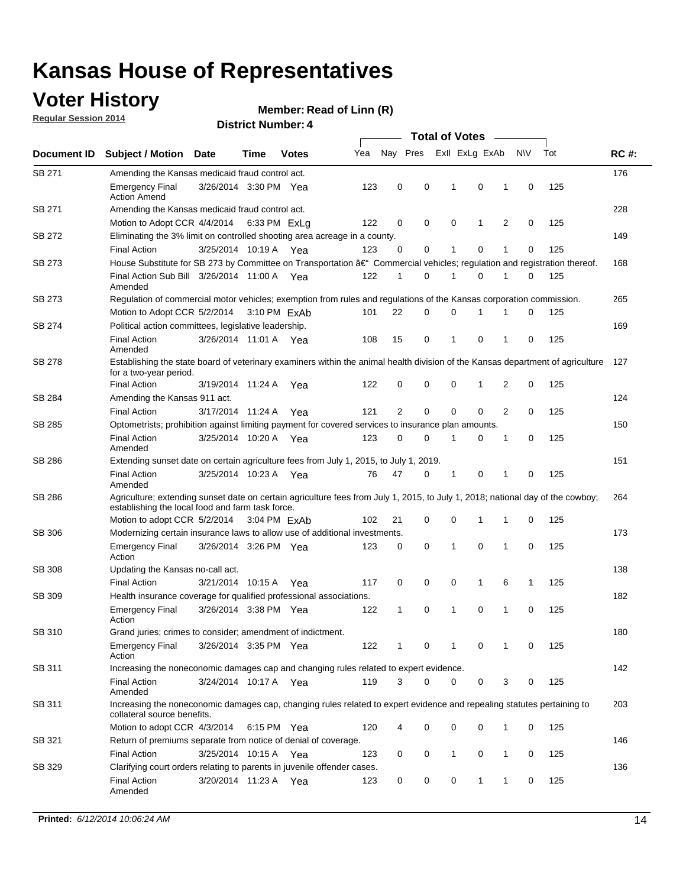### **Voter History**

**Regular Session 2014**

|               |                                                                                                                                                                                    |                       |      |              |     | <b>Total of Votes</b> |             |                |              |   |             |     |             |  |  |
|---------------|------------------------------------------------------------------------------------------------------------------------------------------------------------------------------------|-----------------------|------|--------------|-----|-----------------------|-------------|----------------|--------------|---|-------------|-----|-------------|--|--|
| Document ID   | <b>Subject / Motion Date</b>                                                                                                                                                       |                       | Time | <b>Votes</b> | Yea | Nay Pres              |             | Exll ExLg ExAb |              |   | <b>NV</b>   | Tot | <b>RC#:</b> |  |  |
| SB 271        | Amending the Kansas medicaid fraud control act.                                                                                                                                    |                       |      |              |     |                       |             |                |              |   |             |     | 176         |  |  |
|               | <b>Emergency Final</b><br><b>Action Amend</b>                                                                                                                                      | 3/26/2014 3:30 PM Yea |      |              | 123 | 0                     | 0           | -1             | 0            | 1 | 0           | 125 |             |  |  |
| SB 271        | Amending the Kansas medicaid fraud control act.                                                                                                                                    |                       |      |              |     |                       |             |                |              |   |             |     | 228         |  |  |
|               | Motion to Adopt CCR 4/4/2014 6:33 PM ExLq                                                                                                                                          |                       |      |              | 122 | 0                     | 0           | 0              | 1            | 2 | 0           | 125 |             |  |  |
| SB 272        | Eliminating the 3% limit on controlled shooting area acreage in a county.                                                                                                          |                       |      |              |     |                       |             |                |              |   |             |     | 149         |  |  |
|               | <b>Final Action</b>                                                                                                                                                                | 3/25/2014 10:19 A Yea |      |              | 123 | 0                     | 0           | 1              | 0            | 1 | 0           | 125 |             |  |  |
| SB 273        | House Substitute for SB 273 by Committee on Transportation †Commercial vehicles; regulation and registration thereof.                                                              |                       |      |              |     |                       |             |                |              |   |             |     | 168         |  |  |
|               | Final Action Sub Bill 3/26/2014 11:00 A Yea<br>Amended                                                                                                                             |                       |      |              | 122 | 1                     | 0           | 1              | 0            | 1 | 0           | 125 |             |  |  |
| SB 273        | Regulation of commercial motor vehicles; exemption from rules and regulations of the Kansas corporation commission.                                                                |                       |      |              |     |                       |             |                |              |   |             |     | 265         |  |  |
|               | Motion to Adopt CCR 5/2/2014 3:10 PM ExAb                                                                                                                                          |                       |      |              | 101 | 22                    | 0           | 0              | 1            | 1 | 0           | 125 |             |  |  |
| SB 274        | Political action committees, legislative leadership.                                                                                                                               |                       |      |              |     |                       |             |                |              |   |             |     | 169         |  |  |
|               | <b>Final Action</b><br>Amended                                                                                                                                                     | 3/26/2014 11:01 A Yea |      |              | 108 | 15                    | 0           | $\mathbf{1}$   | $\mathbf 0$  | 1 | 0           | 125 |             |  |  |
| <b>SB 278</b> | Establishing the state board of veterinary examiners within the animal health division of the Kansas department of agriculture<br>for a two-year period.                           |                       |      |              |     |                       |             |                |              |   |             |     | 127         |  |  |
|               | <b>Final Action</b>                                                                                                                                                                | 3/19/2014 11:24 A     |      | Yea          | 122 | 0                     | 0           | 0              | 1            | 2 | 0           | 125 |             |  |  |
| SB 284        | Amending the Kansas 911 act.                                                                                                                                                       |                       |      |              |     |                       |             |                |              |   |             |     | 124         |  |  |
|               | <b>Final Action</b>                                                                                                                                                                | 3/17/2014 11:24 A     |      | Yea          | 121 | 2                     | $\mathbf 0$ | $\mathbf 0$    | $\mathbf 0$  | 2 | 0           | 125 |             |  |  |
| SB 285        | Optometrists; prohibition against limiting payment for covered services to insurance plan amounts.                                                                                 |                       |      |              |     |                       |             |                |              |   |             | 125 | 150         |  |  |
|               | <b>Final Action</b><br>Amended                                                                                                                                                     | 3/25/2014 10:20 A Yea |      |              | 123 | 0                     | 0           | $\mathbf{1}$   | 0            | 1 | $\mathbf 0$ |     |             |  |  |
| SB 286        | Extending sunset date on certain agriculture fees from July 1, 2015, to July 1, 2019.                                                                                              |                       |      |              |     |                       |             |                |              |   |             |     | 151         |  |  |
|               | <b>Final Action</b><br>Amended                                                                                                                                                     | 3/25/2014 10:23 A Yea |      |              | 76  | 47                    | 0           | -1             | 0            | 1 | 0           | 125 |             |  |  |
| SB 286        | Agriculture; extending sunset date on certain agriculture fees from July 1, 2015, to July 1, 2018; national day of the cowboy;<br>establishing the local food and farm task force. |                       |      |              |     |                       |             |                |              |   |             |     | 264         |  |  |
|               | Motion to adopt CCR 5/2/2014 3:04 PM ExAb                                                                                                                                          |                       |      |              | 102 | 21                    | 0           | 0              | 1            | 1 | 0           | 125 |             |  |  |
| <b>SB 306</b> | Modernizing certain insurance laws to allow use of additional investments.                                                                                                         |                       |      |              |     |                       |             |                |              |   |             |     | 173         |  |  |
|               | <b>Emergency Final</b><br>Action                                                                                                                                                   | 3/26/2014 3:26 PM Yea |      |              | 123 | 0                     | 0           | 1              | 0            | 1 | 0           | 125 |             |  |  |
| <b>SB 308</b> | Updating the Kansas no-call act.                                                                                                                                                   |                       |      |              |     |                       |             |                |              |   |             |     | 138         |  |  |
|               | <b>Final Action</b>                                                                                                                                                                | 3/21/2014 10:15 A     |      | Yea          | 117 | 0                     | 0           | 0              | $\mathbf{1}$ | 6 | 1           | 125 |             |  |  |
| SB 309        | Health insurance coverage for qualified professional associations.                                                                                                                 |                       |      |              |     |                       |             |                |              |   |             |     | 182         |  |  |
|               | <b>Emergency Final</b><br>Action                                                                                                                                                   | 3/26/2014 3:38 PM Yea |      |              | 122 | $\mathbf{1}$          | 0           | 1              | 0            | 1 | $\mathbf 0$ | 125 |             |  |  |
| SB 310        | Grand juries; crimes to consider; amendment of indictment.                                                                                                                         |                       |      |              |     |                       |             |                |              |   |             |     | 180         |  |  |
|               | <b>Emergency Final</b><br>Action                                                                                                                                                   | 3/26/2014 3:35 PM Yea |      |              | 122 | 1                     | 0           | 1              | 0            | 1 | 0           | 125 |             |  |  |
| SB 311        | Increasing the noneconomic damages cap and changing rules related to expert evidence.                                                                                              |                       |      |              |     |                       |             |                |              |   |             |     | 142         |  |  |
|               | <b>Final Action</b><br>Amended                                                                                                                                                     | 3/24/2014 10:17 A Yea |      |              | 119 | 3                     | $\Omega$    | 0              | 0            |   | 3<br>0      | 125 |             |  |  |
| SB 311        | Increasing the noneconomic damages cap, changing rules related to expert evidence and repealing statutes pertaining to<br>collateral source benefits.                              |                       |      |              |     |                       |             |                |              |   |             |     | 203         |  |  |
|               | Motion to adopt CCR 4/3/2014 6:15 PM Yea                                                                                                                                           |                       |      |              | 120 | 4                     | 0           | 0              | 0            | 1 | 0           | 125 |             |  |  |
| SB 321        | Return of premiums separate from notice of denial of coverage.                                                                                                                     |                       |      |              |     |                       |             |                |              |   |             |     | 146         |  |  |
|               | <b>Final Action</b>                                                                                                                                                                | 3/25/2014 10:15 A Yea |      |              | 123 | 0                     | 0           | $\mathbf{1}$   | 0            | 1 | 0           | 125 |             |  |  |
| SB 329        | Clarifying court orders relating to parents in juvenile offender cases.<br><b>Final Action</b><br>Amended                                                                          | 3/20/2014 11:23 A Yea |      |              | 123 | 0                     | 0           | 0              | 1            | 1 | 0           | 125 | 136         |  |  |
|               |                                                                                                                                                                                    |                       |      |              |     |                       |             |                |              |   |             |     |             |  |  |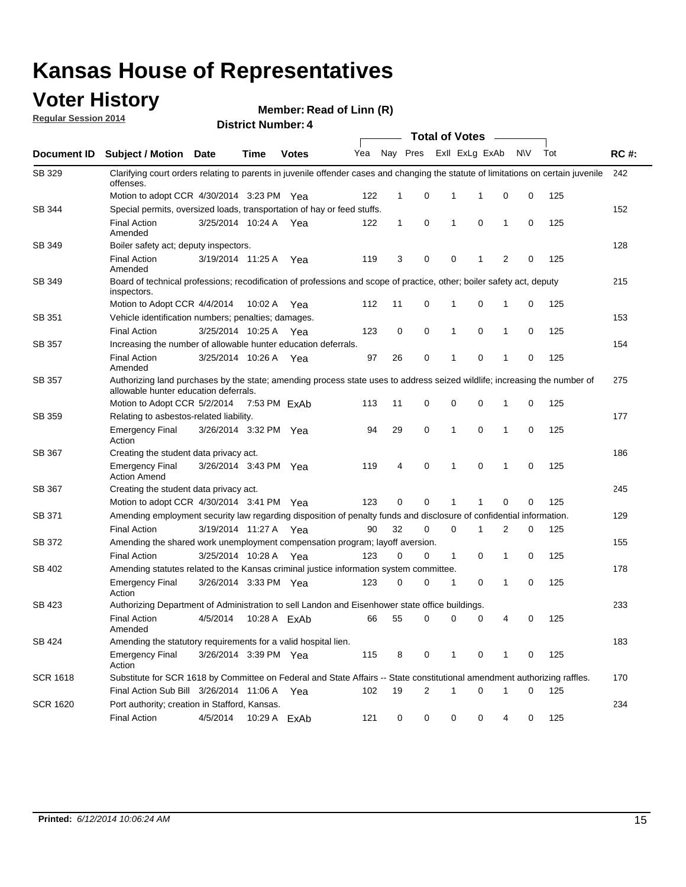### **Voter History**

**Regular Session 2014**

|                    |                                                                                                                                                                    |                                                                                                                     |              |              | <b>Total of Votes</b> |              |   |             |                |              |           |     |             |
|--------------------|--------------------------------------------------------------------------------------------------------------------------------------------------------------------|---------------------------------------------------------------------------------------------------------------------|--------------|--------------|-----------------------|--------------|---|-------------|----------------|--------------|-----------|-----|-------------|
| <b>Document ID</b> | <b>Subject / Motion Date</b>                                                                                                                                       |                                                                                                                     | Time         | <b>Votes</b> | Yea                   | Nay Pres     |   |             | Exll ExLg ExAb |              | <b>NV</b> | Tot | <b>RC#:</b> |
| SB 329             | Clarifying court orders relating to parents in juvenile offender cases and changing the statute of limitations on certain juvenile<br>offenses.                    |                                                                                                                     |              |              |                       |              |   |             |                |              |           |     | 242         |
|                    | Motion to adopt CCR 4/30/2014 3:23 PM Yea                                                                                                                          |                                                                                                                     |              |              | 122                   | 1            | 0 | 1           | 1              | 0            | 0         | 125 |             |
| <b>SB 344</b>      | Special permits, oversized loads, transportation of hay or feed stuffs.                                                                                            |                                                                                                                     |              |              |                       |              |   |             |                |              |           |     | 152         |
|                    | <b>Final Action</b><br>Amended                                                                                                                                     | 3/25/2014 10:24 A                                                                                                   |              | Yea          | 122                   | $\mathbf{1}$ | 0 | 1           | $\mathbf 0$    | 1            | 0         | 125 |             |
| SB 349             | Boiler safety act; deputy inspectors.                                                                                                                              |                                                                                                                     |              |              |                       |              |   |             |                |              |           |     | 128         |
|                    | <b>Final Action</b><br>Amended                                                                                                                                     | 3/19/2014 11:25 A                                                                                                   |              | Yea          | 119                   | 3            | 0 | 0           | 1              | 2            | 0         | 125 |             |
| SB 349             | Board of technical professions; recodification of professions and scope of practice, other; boiler safety act, deputy<br>inspectors.                               |                                                                                                                     |              |              |                       |              |   |             |                |              | 215       |     |             |
|                    | Motion to Adopt CCR 4/4/2014                                                                                                                                       |                                                                                                                     | 10:02 A      | Yea          | 112                   | 11           | 0 | 1           | 0              | 1            | 0         | 125 |             |
| SB 351             | Vehicle identification numbers; penalties; damages.                                                                                                                |                                                                                                                     |              |              |                       |              |   |             |                |              |           |     | 153         |
|                    | <b>Final Action</b>                                                                                                                                                | 3/25/2014 10:25 A                                                                                                   |              | Yea          | 123                   | 0            | 0 | 1           | 0              | 1            | 0         | 125 |             |
| SB 357             | Increasing the number of allowable hunter education deferrals.                                                                                                     |                                                                                                                     |              |              |                       |              |   |             |                |              | 154       |     |             |
|                    | <b>Final Action</b><br>Amended                                                                                                                                     | 3/25/2014 10:26 A                                                                                                   |              | Yea          | 97                    | 26           | 0 | 1           | 0              | 1            | 0         | 125 |             |
| SB 357             | Authorizing land purchases by the state; amending process state uses to address seized wildlife; increasing the number of<br>allowable hunter education deferrals. |                                                                                                                     |              |              |                       |              |   |             |                |              | 275       |     |             |
|                    | Motion to Adopt CCR 5/2/2014                                                                                                                                       |                                                                                                                     | 7:53 PM ExAb |              | 113                   | 11           | 0 | 0           | $\mathbf 0$    | 1            | 0         | 125 |             |
| SB 359             | Relating to asbestos-related liability.                                                                                                                            |                                                                                                                     |              |              |                       |              |   |             |                |              | 177       |     |             |
|                    | <b>Emergency Final</b><br>Action                                                                                                                                   | 3/26/2014 3:32 PM Yea                                                                                               |              |              | 94                    | 29           | 0 | 1           | $\mathbf 0$    | 1            | 0         | 125 |             |
| <b>SB 367</b>      | Creating the student data privacy act.                                                                                                                             |                                                                                                                     |              |              |                       |              |   |             |                |              | 186       |     |             |
|                    | <b>Emergency Final</b><br><b>Action Amend</b>                                                                                                                      | 3/26/2014 3:43 PM Yea                                                                                               |              |              | 119                   | 4            | 0 | 1           | $\mathbf 0$    | $\mathbf{1}$ | 0         | 125 |             |
| SB 367             | Creating the student data privacy act.                                                                                                                             |                                                                                                                     |              |              |                       |              |   |             |                |              |           |     | 245         |
|                    | Motion to adopt CCR 4/30/2014 3:41 PM Yea                                                                                                                          |                                                                                                                     |              |              | 123                   | 0            | 0 | 1           |                | $\mathbf 0$  | 0         | 125 |             |
| SB 371             |                                                                                                                                                                    | Amending employment security law regarding disposition of penalty funds and disclosure of confidential information. |              |              |                       |              |   |             |                |              |           | 129 |             |
|                    | <b>Final Action</b>                                                                                                                                                | 3/19/2014 11:27 A                                                                                                   |              | Yea          | 90                    | 32           | 0 | $\mathbf 0$ | 1              | 2            | 0         | 125 |             |
| <b>SB 372</b>      | Amending the shared work unemployment compensation program; layoff aversion.                                                                                       |                                                                                                                     |              |              |                       |              |   |             |                |              |           |     | 155         |
|                    | <b>Final Action</b>                                                                                                                                                | 3/25/2014 10:28 A                                                                                                   |              | Yea          | 123                   | 0            | 0 | 1           | 0              | 1            | 0         | 125 |             |
| SB 402             | Amending statutes related to the Kansas criminal justice information system committee.                                                                             |                                                                                                                     |              |              |                       |              |   |             |                |              |           |     | 178         |
|                    | <b>Emergency Final</b><br>Action                                                                                                                                   | 3/26/2014 3:33 PM Yea                                                                                               |              |              | 123                   | 0            | 0 | 1           | 0              | 1            | 0         | 125 |             |
| SB 423             | Authorizing Department of Administration to sell Landon and Eisenhower state office buildings.                                                                     |                                                                                                                     |              |              |                       |              |   |             |                |              | 233       |     |             |
|                    | <b>Final Action</b><br>Amended                                                                                                                                     | 4/5/2014                                                                                                            |              | 10:28 A ExAb | 66                    | 55           | 0 | 0           | 0              | 4            | 0         | 125 |             |
| SB 424             | Amending the statutory requirements for a valid hospital lien.                                                                                                     |                                                                                                                     |              |              |                       |              |   |             |                |              | 183       |     |             |
|                    | <b>Emergency Final</b><br>Action                                                                                                                                   | 3/26/2014 3:39 PM Yea                                                                                               |              |              | 115                   | 8            | 0 | 1           | 0              | 1            | 0         | 125 |             |
| SCR 1618           | Substitute for SCR 1618 by Committee on Federal and State Affairs -- State constitutional amendment authorizing raffles.                                           |                                                                                                                     |              |              |                       |              |   |             |                |              |           |     | 170         |
|                    | Final Action Sub Bill 3/26/2014 11:06 A Yea                                                                                                                        |                                                                                                                     |              |              | 102                   | 19           | 2 | 1           | $\mathbf 0$    | 1            | 0         | 125 |             |
| SCR 1620           | Port authority; creation in Stafford, Kansas.                                                                                                                      |                                                                                                                     |              |              |                       |              |   |             |                |              |           |     | 234         |
|                    | <b>Final Action</b>                                                                                                                                                | 4/5/2014                                                                                                            | 10:29 A ExAb |              | 121                   | 0            | 0 | 0           | 0              | 4            | 0         | 125 |             |